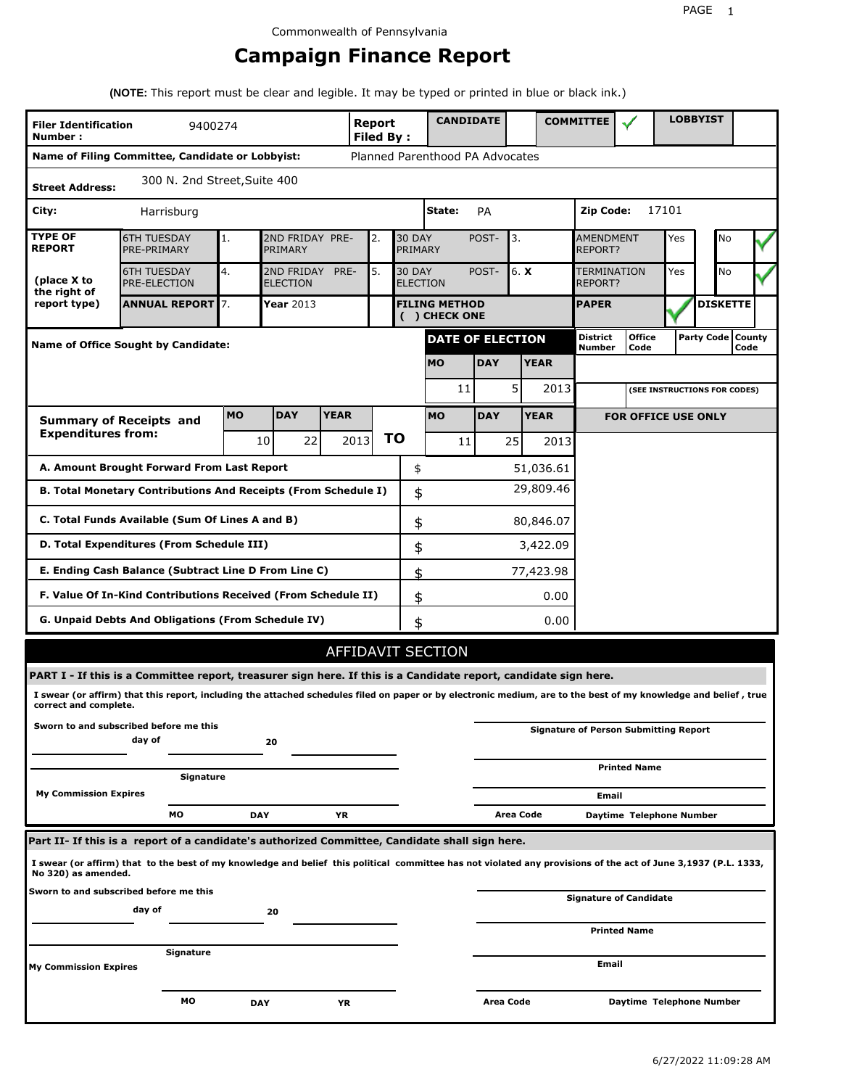# **Campaign Finance Report**

**(NOTE:** This report must be clear and legible. It may be typed or printed in blue or black ink.)

| <b>Filer Identification</b><br>Number: | 9400274                                                                                                                                                         |            |                               |             | Report<br><b>Filed By:</b> |    |                                  | <b>CANDIDATE</b>                      |            |                  |             | <b>COMMITTEE</b>              |                                              |       | <b>LOBBYIST</b>     |      |  |
|----------------------------------------|-----------------------------------------------------------------------------------------------------------------------------------------------------------------|------------|-------------------------------|-------------|----------------------------|----|----------------------------------|---------------------------------------|------------|------------------|-------------|-------------------------------|----------------------------------------------|-------|---------------------|------|--|
|                                        | Name of Filing Committee, Candidate or Lobbyist:                                                                                                                |            |                               |             |                            |    |                                  | Planned Parenthood PA Advocates       |            |                  |             |                               |                                              |       |                     |      |  |
| <b>Street Address:</b>                 | 300 N. 2nd Street, Suite 400                                                                                                                                    |            |                               |             |                            |    |                                  |                                       |            |                  |             |                               |                                              |       |                     |      |  |
| City:                                  | Harrisburg                                                                                                                                                      |            |                               |             |                            |    |                                  | State:                                | PA         |                  |             | Zip Code:                     |                                              | 17101 |                     |      |  |
| <b>TYPE OF</b><br><b>REPORT</b>        | <b>6TH TUESDAY</b><br>PRE-PRIMARY                                                                                                                               | 1.         | 2ND FRIDAY PRE-<br>PRIMARY    |             | 2.                         |    | <b>30 DAY</b><br>PRIMARY         |                                       | POST-      | 3.               |             | <b>AMENDMENT</b><br>REPORT?   |                                              | Yes   | No                  |      |  |
| (place X to<br>the right of            | <b>6TH TUESDAY</b><br>PRE-ELECTION                                                                                                                              | 4.         | 2ND FRIDAY<br><b>ELECTION</b> | PRE-        | 5.                         |    | <b>30 DAY</b><br><b>ELECTION</b> |                                       | POST-      | 6. X             |             | <b>TERMINATION</b><br>REPORT? |                                              | Yes   | No                  |      |  |
| report type)                           | <b>ANNUAL REPORT</b> 7.                                                                                                                                         |            | Year 2013                     |             |                            |    |                                  | <b>FILING METHOD</b><br>( ) CHECK ONE |            |                  |             | <b>PAPER</b>                  |                                              |       | <b>DISKETTE</b>     |      |  |
|                                        | <b>Name of Office Sought by Candidate:</b>                                                                                                                      |            |                               |             |                            |    |                                  | <b>DATE OF ELECTION</b>               |            |                  |             | <b>District</b><br>Number     | <b>Office</b><br>Code                        |       | Party Code   County | Code |  |
|                                        |                                                                                                                                                                 |            |                               |             |                            |    |                                  | <b>MO</b>                             | <b>DAY</b> |                  | <b>YEAR</b> |                               |                                              |       |                     |      |  |
|                                        |                                                                                                                                                                 |            |                               |             |                            |    |                                  | 11                                    |            | 5                | 2013        |                               | (SEE INSTRUCTIONS FOR CODES)                 |       |                     |      |  |
|                                        | <b>Summary of Receipts and</b>                                                                                                                                  | <b>MO</b>  | <b>DAY</b>                    | <b>YEAR</b> |                            |    |                                  | <b>MO</b>                             | <b>DAY</b> |                  | <b>YEAR</b> |                               | <b>FOR OFFICE USE ONLY</b>                   |       |                     |      |  |
| <b>Expenditures from:</b>              |                                                                                                                                                                 |            | 10<br>22                      |             | 2013                       | ΤO |                                  | 11                                    |            | 25               | 2013        |                               |                                              |       |                     |      |  |
|                                        | A. Amount Brought Forward From Last Report                                                                                                                      |            |                               |             |                            |    | \$                               |                                       |            |                  | 51,036.61   |                               |                                              |       |                     |      |  |
|                                        | B. Total Monetary Contributions And Receipts (From Schedule I)                                                                                                  |            |                               |             |                            |    | \$                               |                                       |            |                  | 29,809.46   |                               |                                              |       |                     |      |  |
|                                        | C. Total Funds Available (Sum Of Lines A and B)                                                                                                                 |            |                               |             |                            |    | \$                               |                                       |            |                  | 80,846.07   |                               |                                              |       |                     |      |  |
|                                        | D. Total Expenditures (From Schedule III)                                                                                                                       |            |                               |             |                            |    | \$                               |                                       |            |                  | 3,422.09    |                               |                                              |       |                     |      |  |
|                                        | E. Ending Cash Balance (Subtract Line D From Line C)                                                                                                            |            |                               |             |                            |    | \$                               |                                       |            |                  | 77,423.98   |                               |                                              |       |                     |      |  |
|                                        | F. Value Of In-Kind Contributions Received (From Schedule II)                                                                                                   |            |                               |             |                            |    | \$                               |                                       |            |                  | 0.00        |                               |                                              |       |                     |      |  |
|                                        | <b>G. Unpaid Debts And Obligations (From Schedule IV)</b>                                                                                                       |            |                               |             |                            |    | \$                               |                                       |            |                  | 0.00        |                               |                                              |       |                     |      |  |
|                                        |                                                                                                                                                                 |            |                               |             |                            |    |                                  | AFFIDAVIT SECTION                     |            |                  |             |                               |                                              |       |                     |      |  |
|                                        | PART I - If this is a Committee report, treasurer sign here. If this is a Candidate report, candidate sign here.                                                |            |                               |             |                            |    |                                  |                                       |            |                  |             |                               |                                              |       |                     |      |  |
| correct and complete.                  | I swear (or affirm) that this report, including the attached schedules filed on paper or by electronic medium, are to the best of my knowledge and belief, true |            |                               |             |                            |    |                                  |                                       |            |                  |             |                               |                                              |       |                     |      |  |
|                                        | Sworn to and subscribed before me this<br>day of                                                                                                                |            | 20                            |             |                            |    |                                  |                                       |            |                  |             |                               | <b>Signature of Person Submitting Report</b> |       |                     |      |  |
|                                        | Signature                                                                                                                                                       |            |                               |             |                            |    |                                  |                                       |            |                  |             |                               | <b>Printed Name</b>                          |       |                     |      |  |
| <b>My Commission Expires</b>           |                                                                                                                                                                 |            |                               |             |                            |    |                                  |                                       |            |                  |             | Email                         |                                              |       |                     |      |  |
|                                        | MО                                                                                                                                                              | <b>DAY</b> |                               | ΥR          |                            |    |                                  |                                       |            | <b>Area Code</b> |             |                               | Daytime Telephone Number                     |       |                     |      |  |
|                                        | Part II- If this is a report of a candidate's authorized Committee, Candidate shall sign here.                                                                  |            |                               |             |                            |    |                                  |                                       |            |                  |             |                               |                                              |       |                     |      |  |
| No 320) as amended.                    | I swear (or affirm) that to the best of my knowledge and belief this political committee has not violated any provisions of the act of June 3,1937 (P.L. 1333,  |            |                               |             |                            |    |                                  |                                       |            |                  |             |                               |                                              |       |                     |      |  |
|                                        | Sworn to and subscribed before me this<br>day of                                                                                                                |            | 20                            |             |                            |    |                                  |                                       |            |                  |             |                               | Signature of Candidate                       |       |                     |      |  |
|                                        |                                                                                                                                                                 |            |                               |             |                            |    |                                  |                                       |            |                  |             |                               | <b>Printed Name</b>                          |       |                     |      |  |
| <b>My Commission Expires</b>           | Signature                                                                                                                                                       |            |                               |             |                            |    |                                  |                                       |            |                  |             | Email                         |                                              |       |                     |      |  |
|                                        | МO                                                                                                                                                              | <b>DAY</b> |                               | YR          |                            |    |                                  |                                       | Area Code  |                  |             |                               | Daytime Telephone Number                     |       |                     |      |  |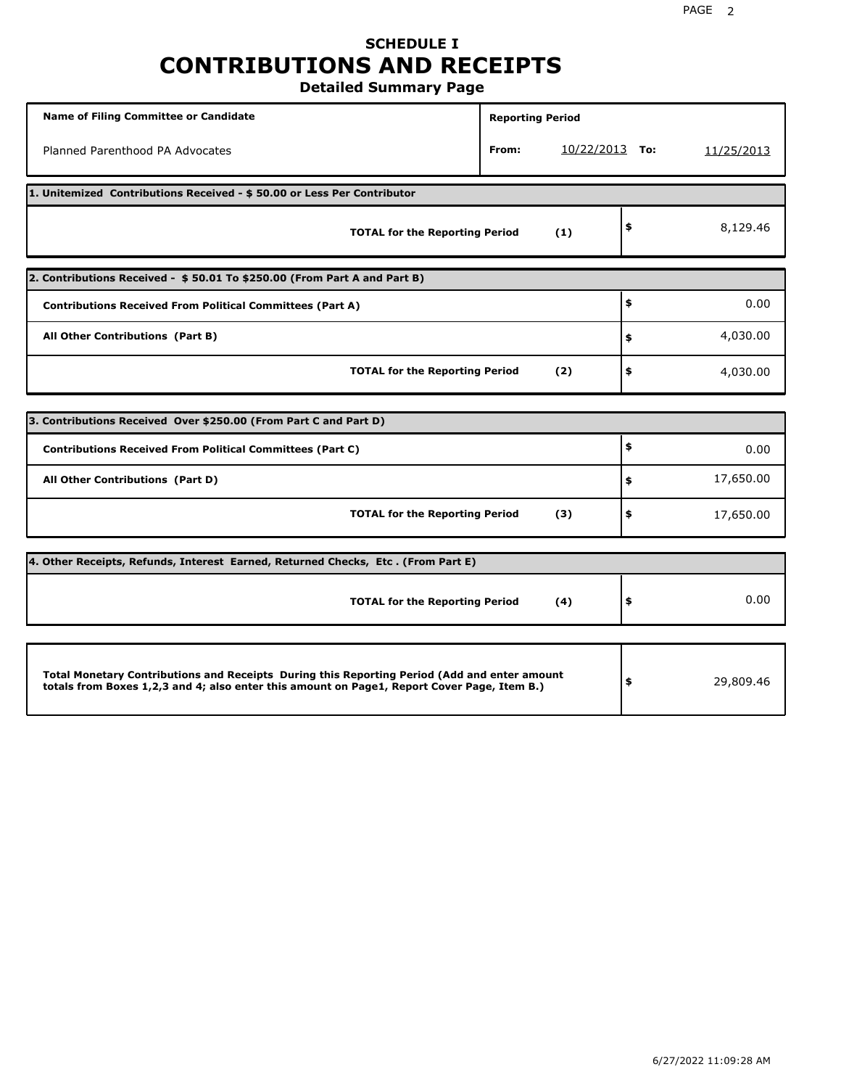# **SCHEDULE I CONTRIBUTIONS AND RECEIPTS**

**Detailed Summary Page**

| <b>Name of Filing Committee or Candidate</b>                                                                                                                                                | <b>Reporting Period</b> |                  |                 |
|---------------------------------------------------------------------------------------------------------------------------------------------------------------------------------------------|-------------------------|------------------|-----------------|
| Planned Parenthood PA Advocates                                                                                                                                                             | From:                   | $10/22/2013$ To: | 11/25/2013      |
| 1. Unitemized Contributions Received - \$50.00 or Less Per Contributor                                                                                                                      |                         |                  |                 |
| <b>TOTAL for the Reporting Period</b>                                                                                                                                                       |                         | (1)              | \$<br>8,129.46  |
| 2. Contributions Received - \$50.01 To \$250.00 (From Part A and Part B)                                                                                                                    |                         |                  |                 |
| <b>Contributions Received From Political Committees (Part A)</b>                                                                                                                            |                         |                  | \$<br>0.00      |
| All Other Contributions (Part B)                                                                                                                                                            |                         |                  | \$<br>4,030.00  |
| <b>TOTAL for the Reporting Period</b>                                                                                                                                                       |                         | (2)              | \$<br>4,030.00  |
| 3. Contributions Received Over \$250.00 (From Part C and Part D)                                                                                                                            |                         |                  |                 |
| <b>Contributions Received From Political Committees (Part C)</b>                                                                                                                            |                         |                  | \$<br>0.00      |
| All Other Contributions (Part D)                                                                                                                                                            |                         |                  | \$<br>17,650.00 |
|                                                                                                                                                                                             |                         |                  |                 |
| <b>TOTAL for the Reporting Period</b>                                                                                                                                                       |                         | (3)              | \$<br>17,650.00 |
| 4. Other Receipts, Refunds, Interest Earned, Returned Checks, Etc. (From Part E)                                                                                                            |                         |                  |                 |
| <b>TOTAL for the Reporting Period</b>                                                                                                                                                       |                         | (4)              | \$<br>0.00      |
|                                                                                                                                                                                             |                         |                  |                 |
| Total Monetary Contributions and Receipts During this Reporting Period (Add and enter amount<br>totals from Boxes 1,2,3 and 4; also enter this amount on Page1, Report Cover Page, Item B.) |                         |                  | \$<br>29,809.46 |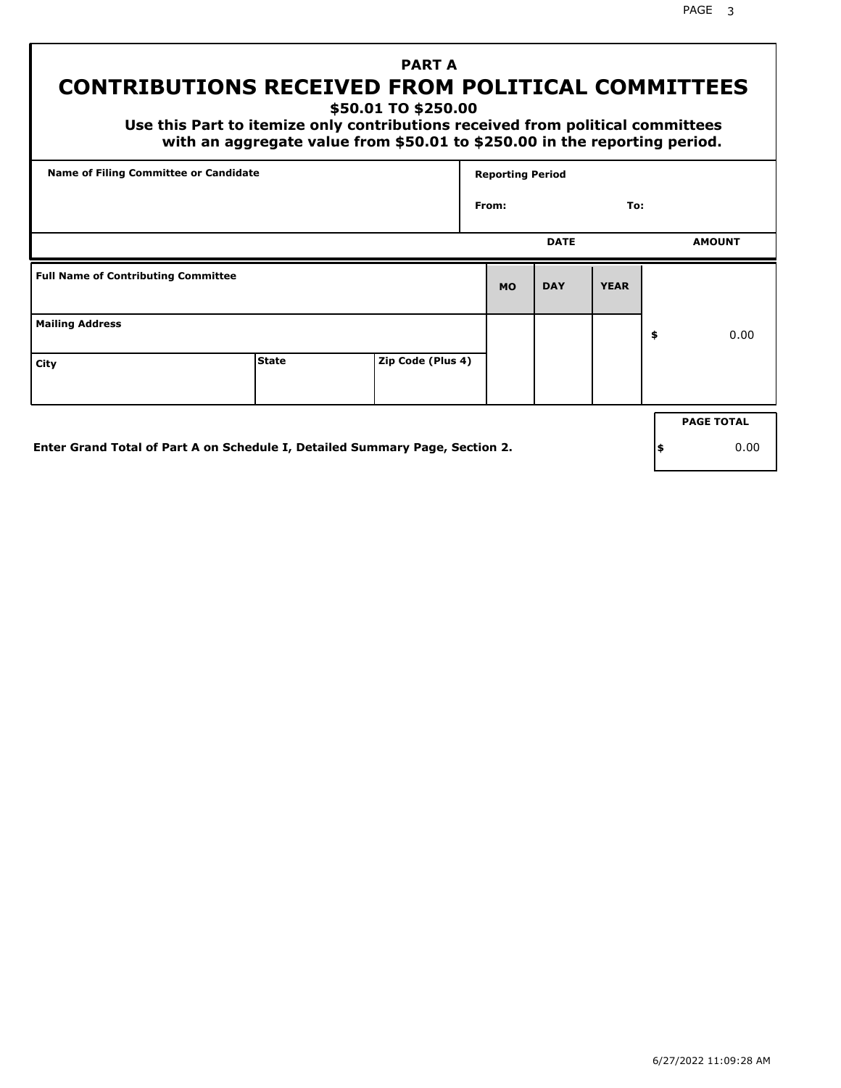PAGE 3

## **PART A CONTRIBUTIONS RECEIVED FROM POLITICAL COMMITTEES**

**\$50.01 TO \$250.00**

 **Use this Part to itemize only contributions received from political committees with an aggregate value from \$50.01 to \$250.00 in the reporting period.**

| Name of Filing Committee or Candidate      |              |                   | <b>Reporting Period</b> |             |             |                   |
|--------------------------------------------|--------------|-------------------|-------------------------|-------------|-------------|-------------------|
|                                            |              |                   | From:                   |             | To:         |                   |
|                                            |              |                   |                         | <b>DATE</b> |             | <b>AMOUNT</b>     |
| <b>Full Name of Contributing Committee</b> |              |                   | <b>MO</b>               | <b>DAY</b>  | <b>YEAR</b> |                   |
| <b>Mailing Address</b>                     |              |                   |                         |             |             | \$<br>0.00        |
| City                                       | <b>State</b> | Zip Code (Plus 4) |                         |             |             |                   |
|                                            |              |                   |                         |             |             | <b>PAGE TOTAL</b> |
|                                            |              |                   |                         |             |             |                   |

**Enter Grand Total of Part A on Schedule I, Detailed Summary Page, Section 2.**

**\$** 0.00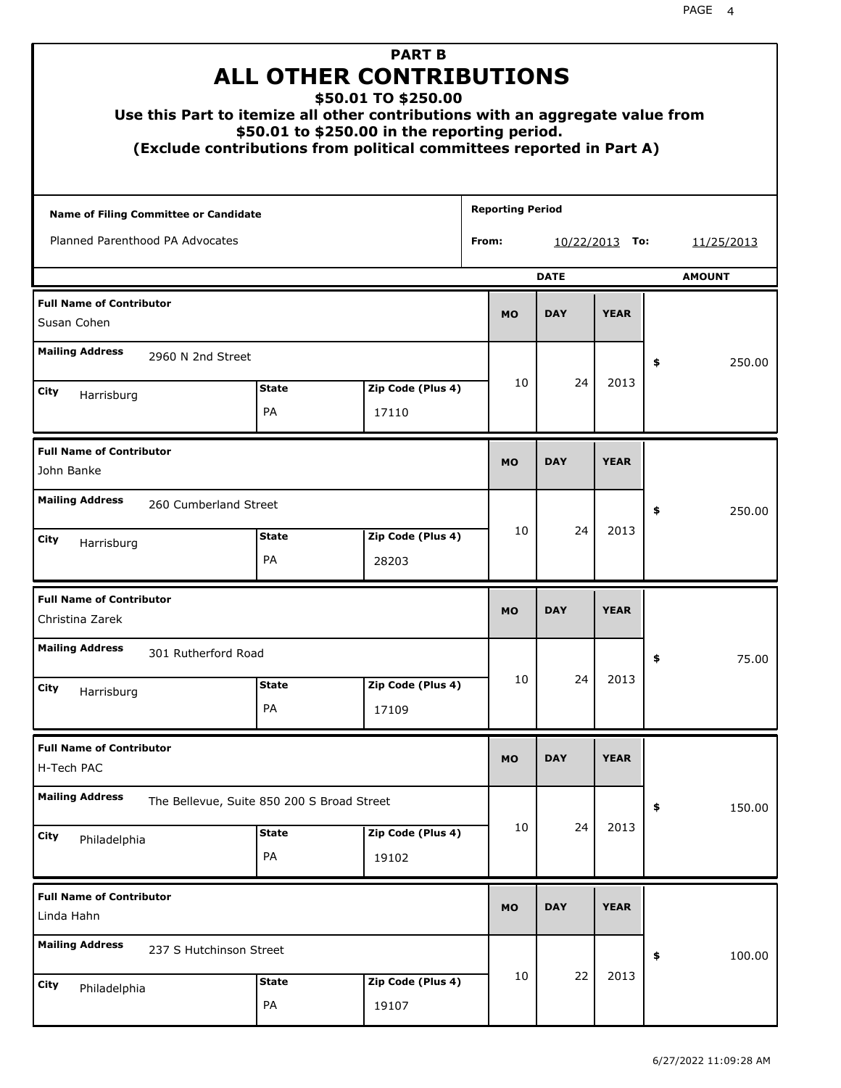| Use this Part to itemize all other contributions with an aggregate value from |                           | <b>PART B</b><br><b>ALL OTHER CONTRIBUTIONS</b><br>\$50.01 TO \$250.00<br>\$50.01 to \$250.00 in the reporting period.<br>(Exclude contributions from political committees reported in Part A) |                         |             |             |    |               |
|-------------------------------------------------------------------------------|---------------------------|------------------------------------------------------------------------------------------------------------------------------------------------------------------------------------------------|-------------------------|-------------|-------------|----|---------------|
| Name of Filing Committee or Candidate                                         |                           |                                                                                                                                                                                                | <b>Reporting Period</b> |             |             |    |               |
| Planned Parenthood PA Advocates                                               |                           |                                                                                                                                                                                                | From:                   | 10/22/2013  | To:         |    | 11/25/2013    |
|                                                                               |                           |                                                                                                                                                                                                |                         | <b>DATE</b> |             |    | <b>AMOUNT</b> |
| <b>Full Name of Contributor</b><br>Susan Cohen                                |                           |                                                                                                                                                                                                | <b>MO</b>               | <b>DAY</b>  | <b>YEAR</b> |    |               |
| <b>Mailing Address</b><br>2960 N 2nd Street                                   |                           |                                                                                                                                                                                                |                         |             |             | \$ | 250.00        |
| City                                                                          | <b>State</b>              | Zip Code (Plus 4)                                                                                                                                                                              | 10                      | 24          | 2013        |    |               |
| Harrisburg                                                                    | <b>PA</b>                 | 17110                                                                                                                                                                                          |                         |             |             |    |               |
| <b>Full Name of Contributor</b><br>John Banke                                 |                           |                                                                                                                                                                                                | <b>MO</b>               | <b>DAY</b>  | <b>YEAR</b> |    |               |
| <b>Mailing Address</b><br>260 Cumberland Street                               |                           |                                                                                                                                                                                                |                         |             |             | \$ | 250.00        |
| City<br>Harrisburg                                                            | <b>State</b><br><b>PA</b> | Zip Code (Plus 4)<br>28203                                                                                                                                                                     | 10                      | 24          | 2013        |    |               |
| <b>Full Name of Contributor</b><br>Christina Zarek                            |                           |                                                                                                                                                                                                | <b>MO</b>               | <b>DAY</b>  | <b>YEAR</b> |    |               |
| <b>Mailing Address</b><br>301 Rutherford Road                                 |                           |                                                                                                                                                                                                |                         |             |             | Ş  | 75.00         |
| City<br>Harrisburg                                                            | <b>State</b><br>PA        | Zip Code (Plus 4)<br>17109                                                                                                                                                                     | 10                      | 24          | 2013        |    |               |
| <b>Full Name of Contributor</b><br>H-Tech PAC                                 |                           |                                                                                                                                                                                                | <b>MO</b>               | <b>DAY</b>  | <b>YEAR</b> |    |               |
| <b>Mailing Address</b><br>The Bellevue, Suite 850 200 S Broad Street          |                           |                                                                                                                                                                                                |                         |             |             | \$ | 150.00        |
| City<br>Philadelphia                                                          | <b>State</b><br>PA        | Zip Code (Plus 4)<br>19102                                                                                                                                                                     | 10                      | 24          | 2013        |    |               |
| <b>Full Name of Contributor</b><br>Linda Hahn                                 |                           |                                                                                                                                                                                                | <b>MO</b>               | <b>DAY</b>  | <b>YEAR</b> |    |               |
| <b>Mailing Address</b><br>237 S Hutchinson Street                             |                           |                                                                                                                                                                                                |                         |             |             | \$ | 100.00        |
| City<br>Philadelphia                                                          | <b>State</b><br>PA        | Zip Code (Plus 4)<br>19107                                                                                                                                                                     | 10                      | 22          | 2013        |    |               |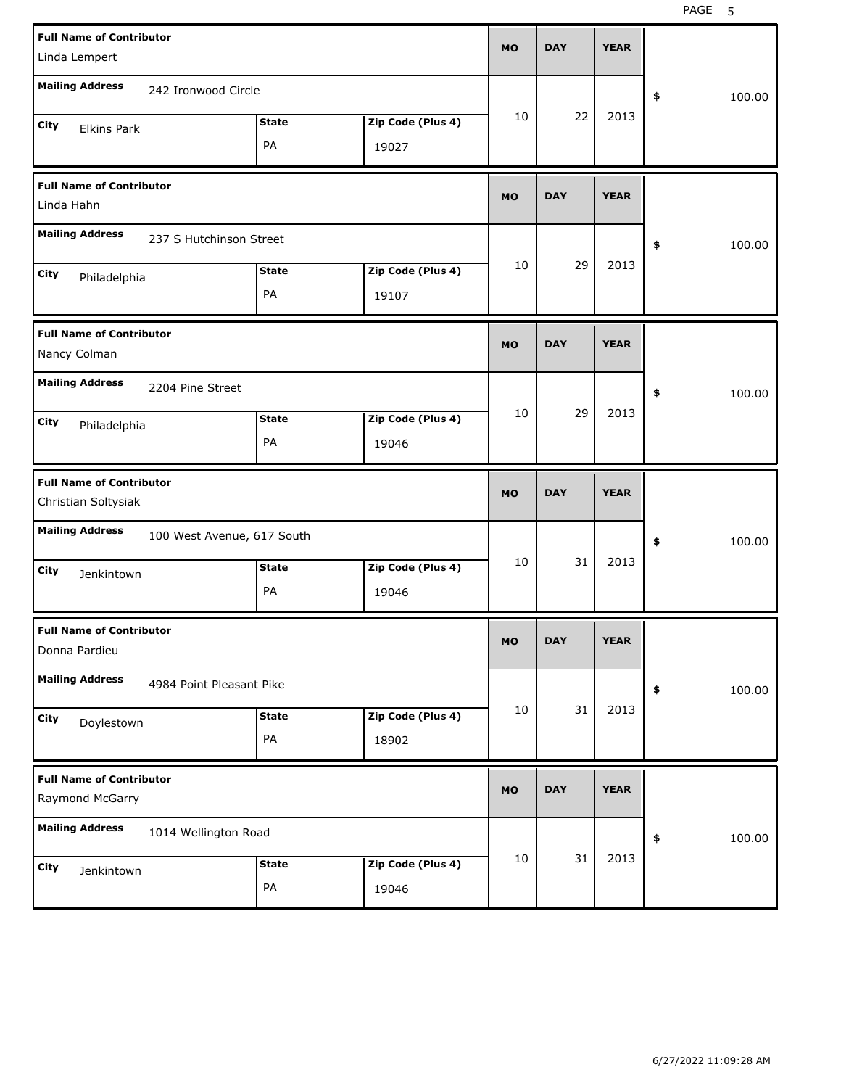| <b>Full Name of Contributor</b><br>Linda Lempert       |                            |              |                   | <b>MO</b> | <b>DAY</b> | <b>YEAR</b> |              |
|--------------------------------------------------------|----------------------------|--------------|-------------------|-----------|------------|-------------|--------------|
|                                                        |                            |              |                   |           |            |             |              |
| <b>Mailing Address</b>                                 | 242 Ironwood Circle        |              |                   |           |            |             | \$<br>100.00 |
| City<br><b>Elkins Park</b>                             |                            | <b>State</b> | Zip Code (Plus 4) | 10        | 22         | 2013        |              |
|                                                        |                            | PA           | 19027             |           |            |             |              |
| <b>Full Name of Contributor</b><br>Linda Hahn          |                            |              |                   | <b>MO</b> | <b>DAY</b> | <b>YEAR</b> |              |
| <b>Mailing Address</b>                                 | 237 S Hutchinson Street    |              |                   |           |            |             | \$<br>100.00 |
| City<br>Philadelphia                                   |                            | <b>State</b> | Zip Code (Plus 4) | 10        | 29         | 2013        |              |
|                                                        |                            | PA           | 19107             |           |            |             |              |
| <b>Full Name of Contributor</b><br>Nancy Colman        |                            |              |                   | <b>MO</b> | <b>DAY</b> | <b>YEAR</b> |              |
| <b>Mailing Address</b>                                 | 2204 Pine Street           |              |                   |           |            |             | \$<br>100.00 |
| City<br>Philadelphia                                   |                            | <b>State</b> | Zip Code (Plus 4) | 10        | 29         | 2013        |              |
|                                                        |                            | PA           | 19046             |           |            |             |              |
|                                                        |                            |              |                   |           |            |             |              |
| <b>Full Name of Contributor</b><br>Christian Soltysiak |                            |              |                   | <b>MO</b> | <b>DAY</b> | <b>YEAR</b> |              |
| <b>Mailing Address</b>                                 | 100 West Avenue, 617 South |              |                   |           |            |             | \$<br>100.00 |
| City                                                   |                            | <b>State</b> | Zip Code (Plus 4) | 10        | 31         | 2013        |              |
| Jenkintown                                             |                            | PA           | 19046             |           |            |             |              |
| <b>Full Name of Contributor</b><br>Donna Pardieu       |                            |              |                   | МO        | <b>DAY</b> | <b>YEAR</b> |              |
| <b>Mailing Address</b>                                 | 4984 Point Pleasant Pike   |              |                   |           |            |             | \$<br>100.00 |
| City                                                   |                            | <b>State</b> | Zip Code (Plus 4) | 10        | 31         | 2013        |              |
| Doylestown                                             |                            | PA           | 18902             |           |            |             |              |
| <b>Full Name of Contributor</b><br>Raymond McGarry     |                            |              |                   | <b>MO</b> | <b>DAY</b> | <b>YEAR</b> |              |
| <b>Mailing Address</b>                                 | 1014 Wellington Road       |              |                   |           |            |             | \$<br>100.00 |
| City<br>Jenkintown                                     |                            | <b>State</b> | Zip Code (Plus 4) | 10        | 31         | 2013        |              |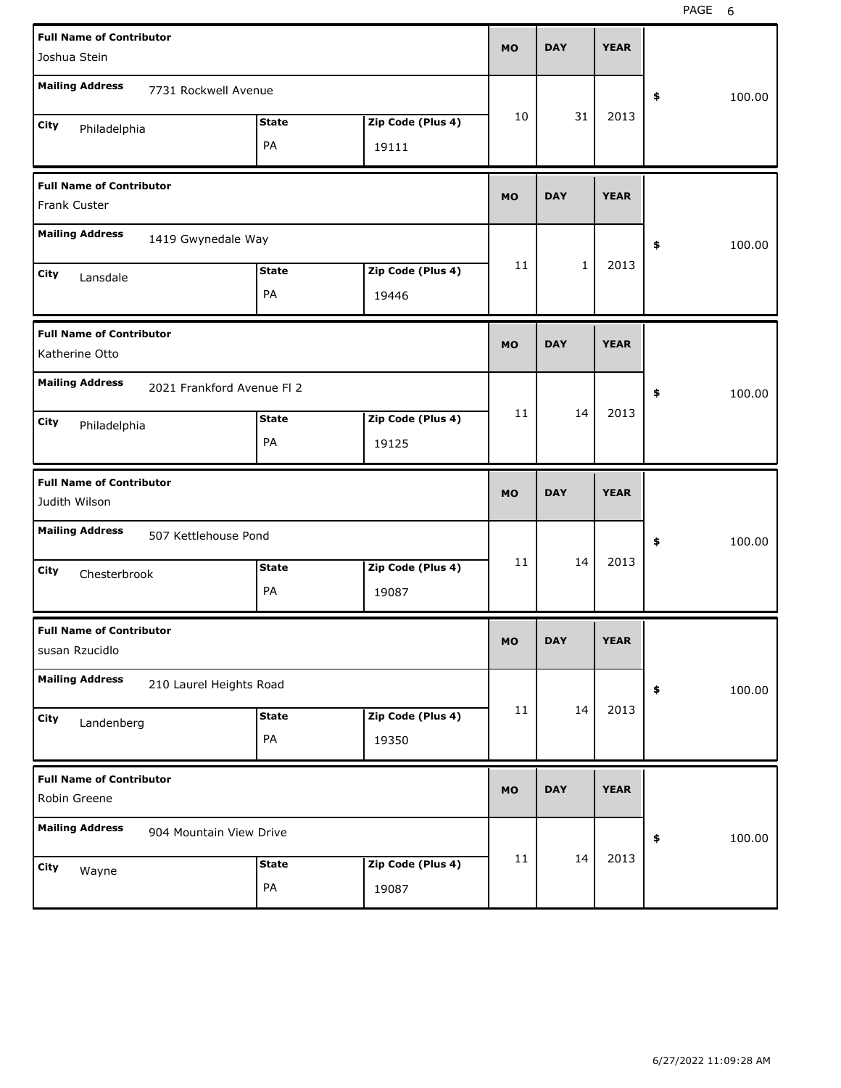| <b>Full Name of Contributor</b><br>Joshua Stein      |              |                            | <b>MO</b> | <b>DAY</b>   | <b>YEAR</b> |              |
|------------------------------------------------------|--------------|----------------------------|-----------|--------------|-------------|--------------|
| <b>Mailing Address</b><br>7731 Rockwell Avenue       |              |                            |           |              |             | \$<br>100.00 |
| City<br>Philadelphia<br>PA                           | <b>State</b> | Zip Code (Plus 4)<br>19111 | 10        | 31           | 2013        |              |
| <b>Full Name of Contributor</b><br>Frank Custer      |              |                            | <b>MO</b> | <b>DAY</b>   | <b>YEAR</b> |              |
| <b>Mailing Address</b><br>1419 Gwynedale Way         |              |                            |           |              |             | \$<br>100.00 |
| City<br>Lansdale<br>PA                               | <b>State</b> | Zip Code (Plus 4)<br>19446 | 11        | $\mathbf{1}$ | 2013        |              |
| <b>Full Name of Contributor</b><br>Katherine Otto    |              |                            | <b>MO</b> | <b>DAY</b>   | <b>YEAR</b> |              |
| <b>Mailing Address</b><br>2021 Frankford Avenue FI 2 |              |                            |           |              |             | \$<br>100.00 |
| City<br>Philadelphia<br>PA                           | <b>State</b> | Zip Code (Plus 4)<br>19125 | 11        | 14           | 2013        |              |
|                                                      |              |                            |           |              |             |              |
| <b>Full Name of Contributor</b><br>Judith Wilson     |              |                            | <b>MO</b> | <b>DAY</b>   | <b>YEAR</b> |              |
| <b>Mailing Address</b><br>507 Kettlehouse Pond       |              |                            |           |              |             | \$<br>100.00 |
| City<br>Chesterbrook<br>PA                           | <b>State</b> | Zip Code (Plus 4)<br>19087 | 11        | 14           | 2013        |              |
| <b>Full Name of Contributor</b><br>susan Rzucidlo    |              |                            | МO        | <b>DAY</b>   | <b>YEAR</b> |              |
| <b>Mailing Address</b><br>210 Laurel Heights Road    |              |                            |           |              |             | \$<br>100.00 |
| City<br>Landenberg<br>PA                             | <b>State</b> | Zip Code (Plus 4)<br>19350 | 11        | 14           | 2013        |              |
| <b>Full Name of Contributor</b><br>Robin Greene      |              |                            | <b>MO</b> | <b>DAY</b>   | <b>YEAR</b> |              |
| <b>Mailing Address</b><br>904 Mountain View Drive    |              |                            | 11        | 14           | 2013        | 100.00<br>\$ |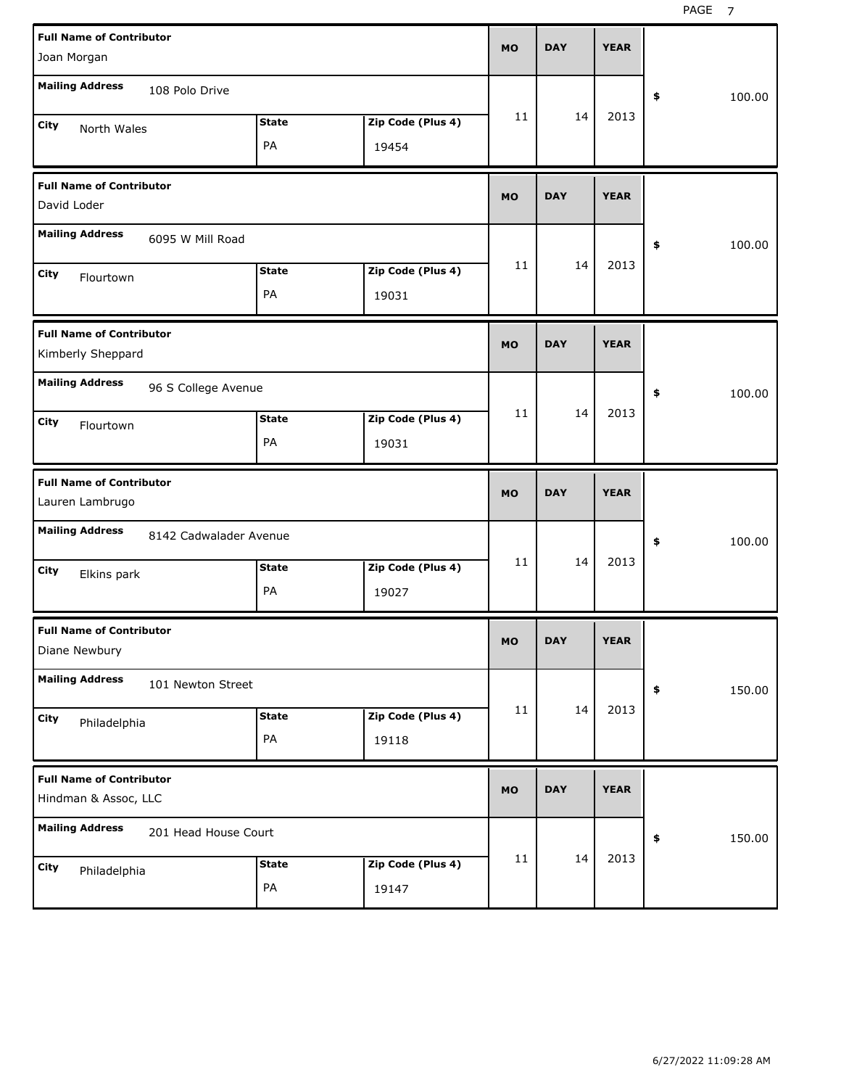| <b>Full Name of Contributor</b><br>Joan Morgan          |                        |                    |                            | <b>MO</b> | <b>DAY</b> | <b>YEAR</b> |              |        |
|---------------------------------------------------------|------------------------|--------------------|----------------------------|-----------|------------|-------------|--------------|--------|
| <b>Mailing Address</b>                                  | 108 Polo Drive         |                    |                            |           |            |             | \$<br>100.00 |        |
| City<br>North Wales                                     |                        | <b>State</b><br>PA | Zip Code (Plus 4)<br>19454 | 11        | 14         | 2013        |              |        |
| <b>Full Name of Contributor</b><br>David Loder          |                        |                    |                            | <b>MO</b> | <b>DAY</b> | <b>YEAR</b> |              |        |
| <b>Mailing Address</b>                                  | 6095 W Mill Road       |                    |                            |           |            |             | \$<br>100.00 |        |
| City<br>Flourtown                                       |                        | <b>State</b><br>PA | Zip Code (Plus 4)<br>19031 | 11        | 14         | 2013        |              |        |
| <b>Full Name of Contributor</b><br>Kimberly Sheppard    |                        |                    |                            | <b>MO</b> | <b>DAY</b> | <b>YEAR</b> |              |        |
| <b>Mailing Address</b>                                  | 96 S College Avenue    |                    |                            |           |            |             | 100.00<br>\$ |        |
| City<br>Flourtown                                       |                        | <b>State</b><br>PA | Zip Code (Plus 4)<br>19031 | 11        | 14         | 2013        |              |        |
|                                                         |                        |                    |                            |           |            |             |              |        |
| <b>Full Name of Contributor</b><br>Lauren Lambrugo      |                        |                    |                            | <b>MO</b> | <b>DAY</b> | <b>YEAR</b> |              |        |
| <b>Mailing Address</b>                                  | 8142 Cadwalader Avenue |                    |                            |           |            |             | 100.00<br>\$ |        |
| City<br>Elkins park                                     |                        | <b>State</b><br>PA | Zip Code (Plus 4)<br>19027 | 11        | 14         | 2013        |              |        |
| <b>Full Name of Contributor</b><br>Diane Newbury        |                        |                    |                            | MO        | <b>DAY</b> | <b>YEAR</b> |              |        |
| <b>Mailing Address</b>                                  | 101 Newton Street      |                    |                            |           |            |             | \$           | 150.00 |
| City<br>Philadelphia                                    |                        | <b>State</b><br>PA | Zip Code (Plus 4)<br>19118 | 11        | 14         | 2013        |              |        |
| <b>Full Name of Contributor</b><br>Hindman & Assoc, LLC |                        |                    |                            | <b>MO</b> | <b>DAY</b> | <b>YEAR</b> |              |        |
| <b>Mailing Address</b>                                  | 201 Head House Court   |                    |                            | 11        | 14         | 2013        | 150.00<br>\$ |        |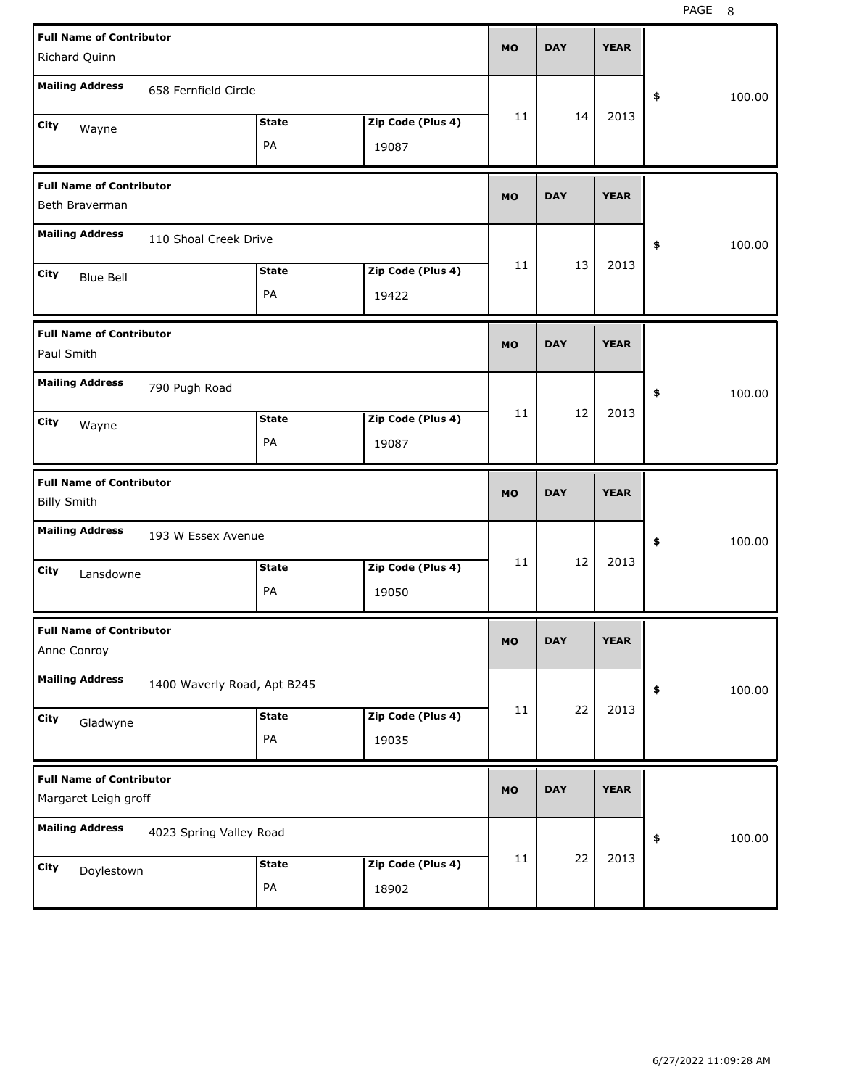| <b>Full Name of Contributor</b><br>Richard Quinn        |                             |              |                   | <b>MO</b> | <b>DAY</b> | <b>YEAR</b> |              |
|---------------------------------------------------------|-----------------------------|--------------|-------------------|-----------|------------|-------------|--------------|
| <b>Mailing Address</b>                                  | 658 Fernfield Circle        |              |                   |           |            |             | \$<br>100.00 |
| City<br>Wayne                                           |                             | <b>State</b> | Zip Code (Plus 4) | 11        | 14         | 2013        |              |
|                                                         |                             | PA           | 19087             |           |            |             |              |
| <b>Full Name of Contributor</b><br>Beth Braverman       |                             |              |                   | <b>MO</b> | <b>DAY</b> | <b>YEAR</b> |              |
| <b>Mailing Address</b>                                  | 110 Shoal Creek Drive       |              |                   |           |            |             | \$<br>100.00 |
| City<br><b>Blue Bell</b>                                |                             | <b>State</b> | Zip Code (Plus 4) | 11        | 13         | 2013        |              |
|                                                         |                             | PA           | 19422             |           |            |             |              |
| <b>Full Name of Contributor</b><br>Paul Smith           |                             |              |                   | <b>MO</b> | <b>DAY</b> | <b>YEAR</b> |              |
| <b>Mailing Address</b>                                  | 790 Pugh Road               |              |                   |           |            |             | \$<br>100.00 |
| City<br>Wayne                                           |                             | <b>State</b> | Zip Code (Plus 4) | 11        | 12         | 2013        |              |
|                                                         |                             | PA           | 19087             |           |            |             |              |
|                                                         |                             |              |                   |           |            |             |              |
| <b>Full Name of Contributor</b><br><b>Billy Smith</b>   |                             |              |                   | <b>MO</b> | <b>DAY</b> | <b>YEAR</b> |              |
| <b>Mailing Address</b>                                  | 193 W Essex Avenue          |              |                   |           |            |             | \$<br>100.00 |
| City<br>Lansdowne                                       |                             | <b>State</b> | Zip Code (Plus 4) | 11        | 12         | 2013        |              |
|                                                         |                             | PA           | 19050             |           |            |             |              |
| <b>Full Name of Contributor</b><br>Anne Conroy          |                             |              |                   | мo        | <b>DAY</b> | <b>YEAR</b> |              |
| <b>Mailing Address</b>                                  | 1400 Waverly Road, Apt B245 |              |                   |           |            |             | \$<br>100.00 |
| <b>City</b>                                             |                             | <b>State</b> | Zip Code (Plus 4) | 11        | 22         | 2013        |              |
| Gladwyne                                                |                             | PA           | 19035             |           |            |             |              |
| <b>Full Name of Contributor</b><br>Margaret Leigh groff |                             |              |                   | <b>MO</b> | <b>DAY</b> | <b>YEAR</b> |              |
| <b>Mailing Address</b>                                  | 4023 Spring Valley Road     |              |                   |           |            |             | \$<br>100.00 |
| City<br>Doylestown                                      |                             | <b>State</b> | Zip Code (Plus 4) | 11        | 22         | 2013        |              |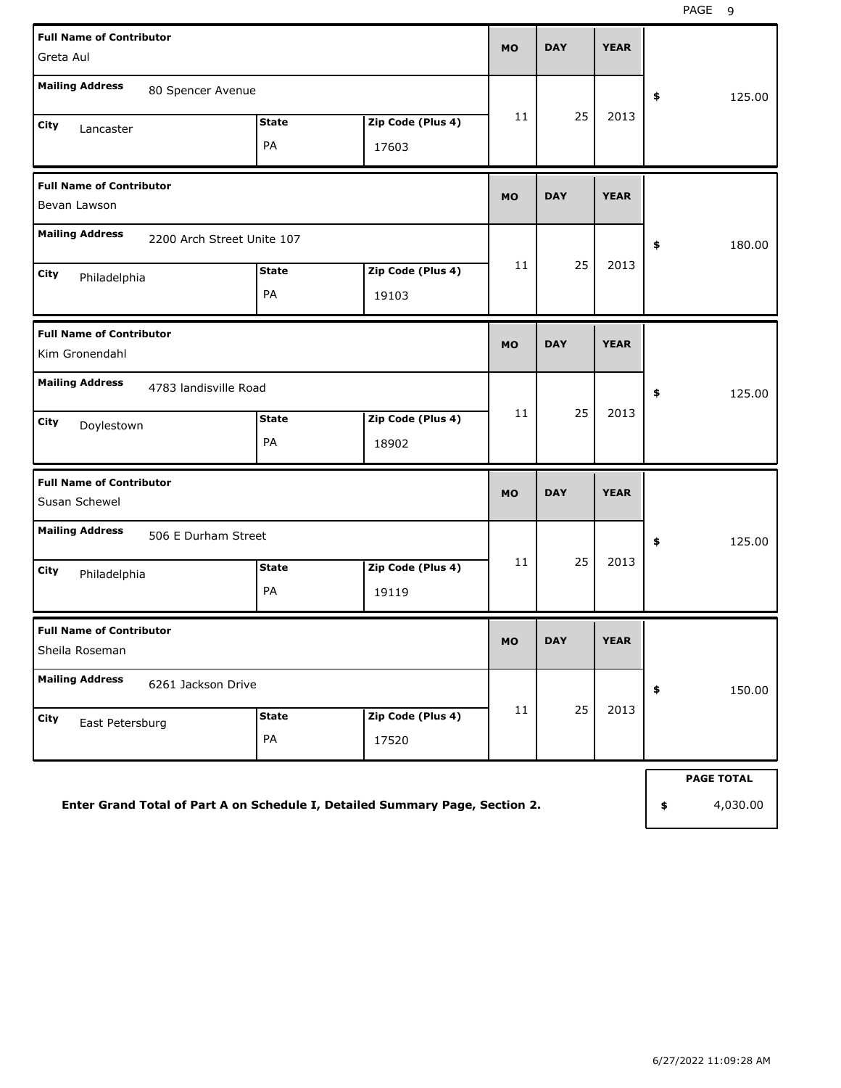| <b>Full Name of Contributor</b><br>Greta Aul      |                            |              |                                                                              | <b>MO</b> | <b>DAY</b> | <b>YEAR</b> |                   |
|---------------------------------------------------|----------------------------|--------------|------------------------------------------------------------------------------|-----------|------------|-------------|-------------------|
| <b>Mailing Address</b>                            | 80 Spencer Avenue          |              |                                                                              |           |            |             |                   |
|                                                   |                            | <b>State</b> |                                                                              | 11        | 25         | 2013        | \$<br>125.00      |
| City<br>Lancaster                                 |                            | PA           | Zip Code (Plus 4)<br>17603                                                   |           |            |             |                   |
|                                                   |                            |              |                                                                              |           |            |             |                   |
| <b>Full Name of Contributor</b><br>Bevan Lawson   |                            |              |                                                                              | <b>MO</b> | <b>DAY</b> | <b>YEAR</b> |                   |
| <b>Mailing Address</b>                            | 2200 Arch Street Unite 107 |              |                                                                              |           |            |             | \$<br>180.00      |
| City<br>Philadelphia                              |                            | <b>State</b> | Zip Code (Plus 4)                                                            | 11        | 25         | 2013        |                   |
|                                                   |                            | PA           | 19103                                                                        |           |            |             |                   |
| <b>Full Name of Contributor</b><br>Kim Gronendahl |                            |              |                                                                              | <b>MO</b> | <b>DAY</b> | <b>YEAR</b> |                   |
| <b>Mailing Address</b>                            | 4783 landisville Road      |              |                                                                              |           |            |             |                   |
|                                                   |                            |              |                                                                              | 11        | 25         | 2013        | \$<br>125.00      |
|                                                   |                            | <b>State</b> |                                                                              |           |            |             |                   |
| City<br>Doylestown                                |                            |              | Zip Code (Plus 4)                                                            |           |            |             |                   |
|                                                   |                            | PA           | 18902                                                                        |           |            |             |                   |
| <b>Full Name of Contributor</b><br>Susan Schewel  |                            |              |                                                                              | <b>MO</b> | <b>DAY</b> | <b>YEAR</b> |                   |
| <b>Mailing Address</b>                            | 506 E Durham Street        |              |                                                                              |           |            |             | \$<br>125.00      |
| City<br>Philadelphia                              |                            | <b>State</b> | Zip Code (Plus 4)                                                            | 11        | 25         | 2013        |                   |
|                                                   |                            | PA           | 19119                                                                        |           |            |             |                   |
| <b>Full Name of Contributor</b>                   |                            |              |                                                                              |           |            |             |                   |
| Sheila Roseman                                    |                            |              |                                                                              | <b>MO</b> | DAY        | <b>YEAR</b> |                   |
| <b>Mailing Address</b>                            | 6261 Jackson Drive         |              |                                                                              |           |            |             | \$<br>150.00      |
| City<br>East Petersburg                           |                            | <b>State</b> | Zip Code (Plus 4)                                                            | 11        | 25         | 2013        |                   |
|                                                   |                            | PA           | 17520                                                                        |           |            |             |                   |
|                                                   |                            |              |                                                                              |           |            |             | <b>PAGE TOTAL</b> |
|                                                   |                            |              | Enter Grand Total of Part A on Schedule I, Detailed Summary Page, Section 2. |           |            |             | \$<br>4,030.00    |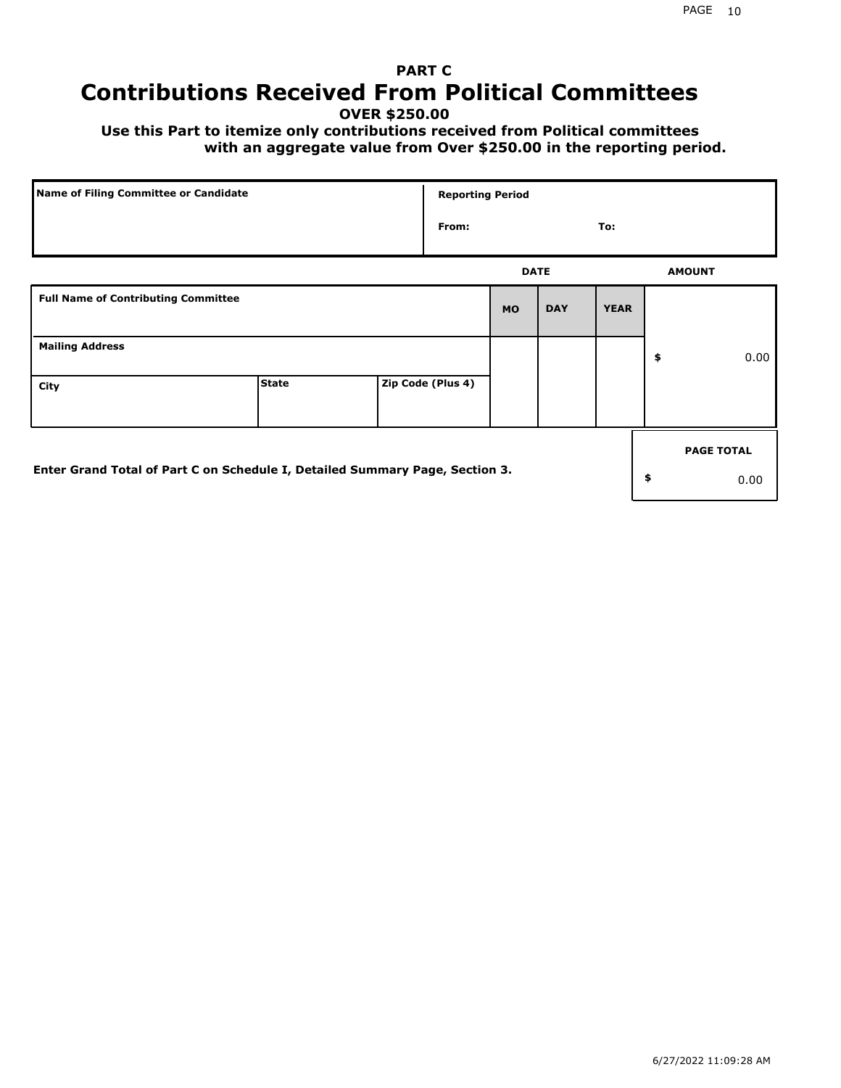## **PART C Contributions Received From Political Committees**

**OVER \$250.00**

 **Use this Part to itemize only contributions received from Political committees with an aggregate value from Over \$250.00 in the reporting period.**

| Name of Filing Committee or Candidate                                        |              | <b>Reporting Period</b> |             |            |             |                   |
|------------------------------------------------------------------------------|--------------|-------------------------|-------------|------------|-------------|-------------------|
|                                                                              |              | From:                   |             |            | To:         |                   |
|                                                                              |              |                         | <b>DATE</b> |            |             | <b>AMOUNT</b>     |
| <b>Full Name of Contributing Committee</b>                                   |              |                         | <b>MO</b>   | <b>DAY</b> | <b>YEAR</b> |                   |
| <b>Mailing Address</b>                                                       |              |                         |             |            |             | \$<br>0.00        |
| City                                                                         | <b>State</b> | Zip Code (Plus 4)       |             |            |             |                   |
|                                                                              |              |                         |             |            |             | <b>PAGE TOTAL</b> |
| Enter Grand Total of Part C on Schedule I, Detailed Summary Page, Section 3. |              |                         |             |            |             | \$<br>0.00        |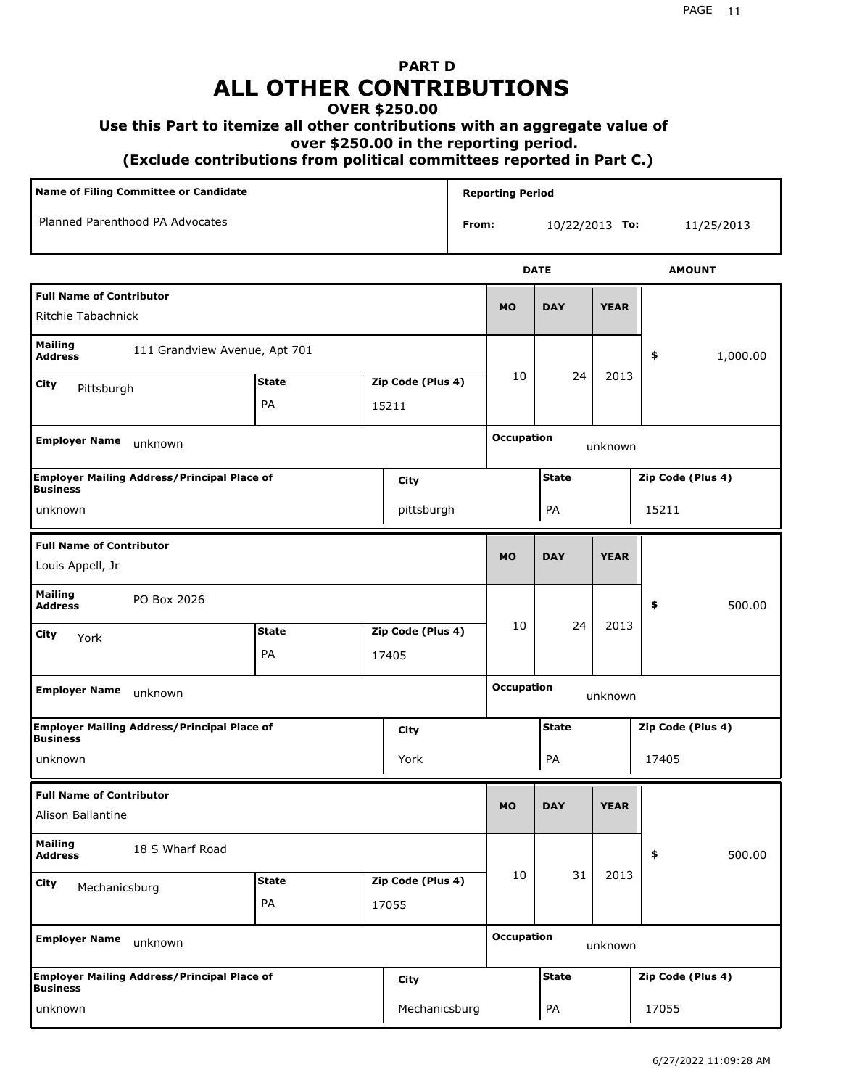## **PART D ALL OTHER CONTRIBUTIONS**

### **OVER \$250.00**

### **Use this Part to itemize all other contributions with an aggregate value of**

 **over \$250.00 in the reporting period.**

 **(Exclude contributions from political committees reported in Part C.)** 

| Name of Filing Committee or Candidate                                 |                    |  |                            |       | <b>Reporting Period</b> |                  |             |                   |
|-----------------------------------------------------------------------|--------------------|--|----------------------------|-------|-------------------------|------------------|-------------|-------------------|
| Planned Parenthood PA Advocates                                       |                    |  |                            | From: |                         | $10/22/2013$ To: |             | 11/25/2013        |
|                                                                       |                    |  |                            |       |                         | <b>DATE</b>      |             | <b>AMOUNT</b>     |
| <b>Full Name of Contributor</b><br>Ritchie Tabachnick                 |                    |  |                            |       | <b>MO</b>               | <b>DAY</b>       | <b>YEAR</b> |                   |
| Mailing<br>111 Grandview Avenue, Apt 701<br><b>Address</b>            |                    |  |                            |       |                         |                  |             | 1,000.00<br>\$    |
| City<br>Pittsburgh                                                    | <b>State</b><br>PA |  | Zip Code (Plus 4)<br>15211 |       | 10                      | 24               | 2013        |                   |
| <b>Employer Name</b><br>unknown                                       |                    |  |                            |       | <b>Occupation</b>       |                  | unknown     |                   |
| <b>Employer Mailing Address/Principal Place of</b><br><b>Business</b> |                    |  | City                       |       |                         | <b>State</b>     |             | Zip Code (Plus 4) |
| unknown                                                               |                    |  | pittsburgh                 |       |                         | PA               |             | 15211             |
| <b>Full Name of Contributor</b><br>Louis Appell, Jr                   |                    |  |                            |       | <b>MO</b>               | <b>DAY</b>       | <b>YEAR</b> |                   |
| <b>Mailing</b><br>PO Box 2026<br><b>Address</b>                       |                    |  |                            |       |                         |                  |             | \$<br>500.00      |
| City<br>York                                                          | <b>State</b>       |  | Zip Code (Plus 4)          |       | 10                      | 24               | 2013        |                   |
|                                                                       | PA                 |  | 17405                      |       |                         |                  |             |                   |
| <b>Employer Name</b><br>unknown                                       |                    |  |                            |       | <b>Occupation</b>       |                  | unknown     |                   |
| <b>Employer Mailing Address/Principal Place of</b><br><b>Business</b> |                    |  | City                       |       |                         | <b>State</b>     |             | Zip Code (Plus 4) |
| unknown                                                               |                    |  | York                       |       |                         | PA               |             | 17405             |
| <b>Full Name of Contributor</b><br>Alison Ballantine                  |                    |  |                            |       | <b>MO</b>               | <b>DAY</b>       | <b>YEAR</b> |                   |
| <b>Mailing</b><br>18 S Wharf Road<br><b>Address</b>                   |                    |  |                            |       |                         |                  |             | \$<br>500.00      |
| City<br>Mechanicsburg                                                 | <b>State</b>       |  | Zip Code (Plus 4)          |       | 10                      | 31               | 2013        |                   |
|                                                                       | PA                 |  | 17055                      |       |                         |                  |             |                   |
| <b>Employer Name</b><br>unknown                                       |                    |  |                            |       | <b>Occupation</b>       |                  | unknown     |                   |
| <b>Employer Mailing Address/Principal Place of</b><br><b>Business</b> |                    |  | City                       |       |                         | <b>State</b>     |             | Zip Code (Plus 4) |
| unknown                                                               |                    |  | Mechanicsburg              |       |                         | PA               |             | 17055             |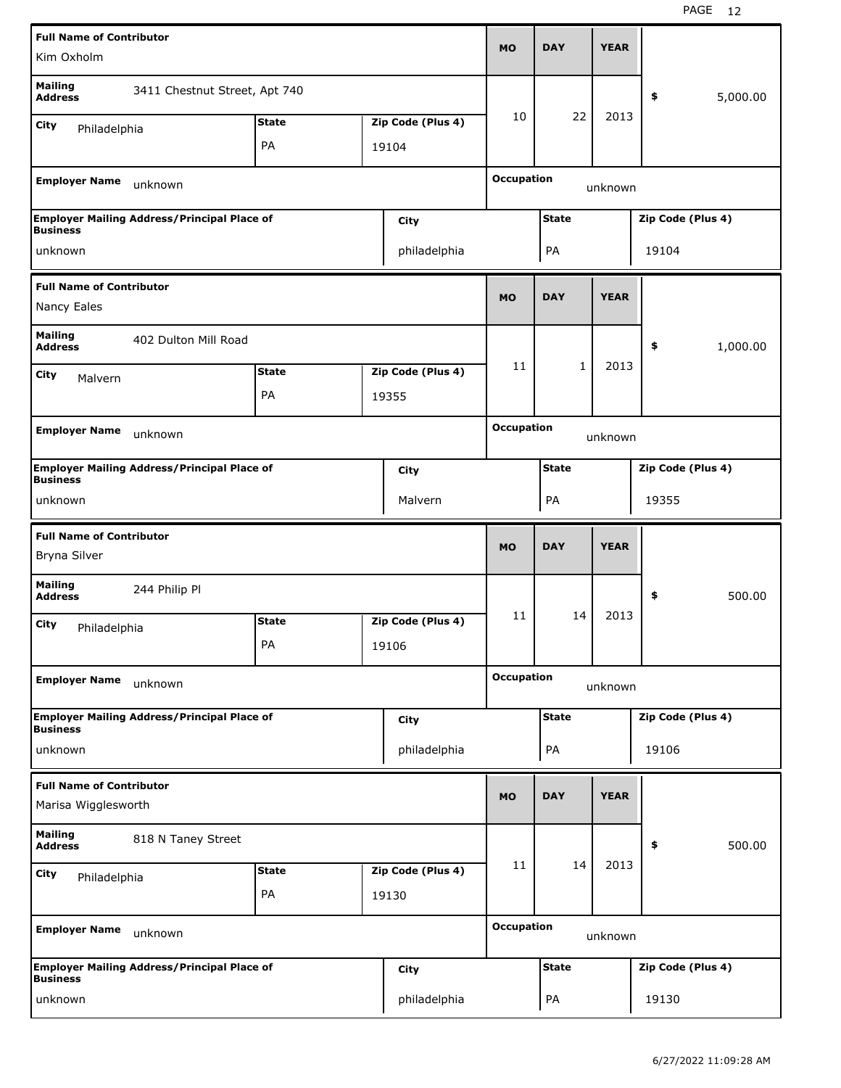| <b>Full Name of Contributor</b>                                       |              |                   |                   | <b>DAY</b>   | <b>YEAR</b> |                   |          |
|-----------------------------------------------------------------------|--------------|-------------------|-------------------|--------------|-------------|-------------------|----------|
| Kim Oxholm                                                            |              |                   | <b>MO</b>         |              |             |                   |          |
| <b>Mailing</b><br>3411 Chestnut Street, Apt 740<br><b>Address</b>     |              |                   |                   |              |             | \$                | 5,000.00 |
| City<br>Philadelphia                                                  | <b>State</b> | Zip Code (Plus 4) | 10                | 22           | 2013        |                   |          |
|                                                                       | PA           | 19104             |                   |              |             |                   |          |
|                                                                       |              |                   | <b>Occupation</b> |              |             |                   |          |
| <b>Employer Name</b><br>unknown                                       |              |                   |                   |              | unknown     |                   |          |
| <b>Employer Mailing Address/Principal Place of</b><br><b>Business</b> |              | City              |                   | <b>State</b> |             | Zip Code (Plus 4) |          |
| unknown                                                               |              | philadelphia      |                   | PA           |             | 19104             |          |
| <b>Full Name of Contributor</b>                                       |              |                   |                   |              |             |                   |          |
| Nancy Eales                                                           |              |                   | <b>MO</b>         | <b>DAY</b>   | <b>YEAR</b> |                   |          |
| <b>Mailing</b><br>402 Dulton Mill Road<br><b>Address</b>              |              |                   |                   |              |             | \$                | 1,000.00 |
| City<br>Malvern                                                       | <b>State</b> | Zip Code (Plus 4) | 11                | 1            | 2013        |                   |          |
|                                                                       | PA           | 19355             |                   |              |             |                   |          |
|                                                                       |              |                   |                   |              |             |                   |          |
| <b>Employer Name</b><br>unknown                                       |              |                   | <b>Occupation</b> |              | unknown     |                   |          |
| <b>Employer Mailing Address/Principal Place of</b><br><b>Business</b> |              | <b>City</b>       |                   | <b>State</b> |             | Zip Code (Plus 4) |          |
| unknown                                                               |              | Malvern           |                   | PA           |             | 19355             |          |
|                                                                       |              |                   |                   |              |             |                   |          |
| <b>Full Name of Contributor</b>                                       |              |                   | <b>MO</b>         | <b>DAY</b>   | <b>YEAR</b> |                   |          |
| Bryna Silver                                                          |              |                   |                   |              |             |                   |          |
| <b>Mailing</b><br>244 Philip Pl<br><b>Address</b>                     |              |                   |                   |              |             | \$                | 500.00   |
| City                                                                  | <b>State</b> | Zip Code (Plus 4) | 11                | 14           | 2013        |                   |          |
| Philadelphia                                                          | PA           | 19106             |                   |              |             |                   |          |
| <b>Employer Name</b><br>unknown                                       |              |                   | <b>Occupation</b> |              | unknown     |                   |          |
|                                                                       |              |                   |                   |              |             |                   |          |
| <b>Employer Mailing Address/Principal Place of</b><br><b>Business</b> |              | <b>City</b>       |                   | <b>State</b> |             | Zip Code (Plus 4) |          |
| unknown                                                               |              | philadelphia      |                   | PA           |             | 19106             |          |
| <b>Full Name of Contributor</b>                                       |              |                   |                   |              |             |                   |          |
| Marisa Wigglesworth                                                   |              |                   | <b>MO</b>         | <b>DAY</b>   | <b>YEAR</b> |                   |          |
| <b>Mailing</b><br>818 N Taney Street<br><b>Address</b>                |              |                   |                   |              |             | \$                | 500.00   |
| <b>City</b>                                                           | <b>State</b> | Zip Code (Plus 4) | 11                | 14           | 2013        |                   |          |
| Philadelphia                                                          | PA           | 19130             |                   |              |             |                   |          |
| <b>Employer Name</b><br>unknown                                       |              |                   | <b>Occupation</b> |              | unknown     |                   |          |
| <b>Employer Mailing Address/Principal Place of</b><br><b>Business</b> |              | City              |                   | <b>State</b> |             | Zip Code (Plus 4) |          |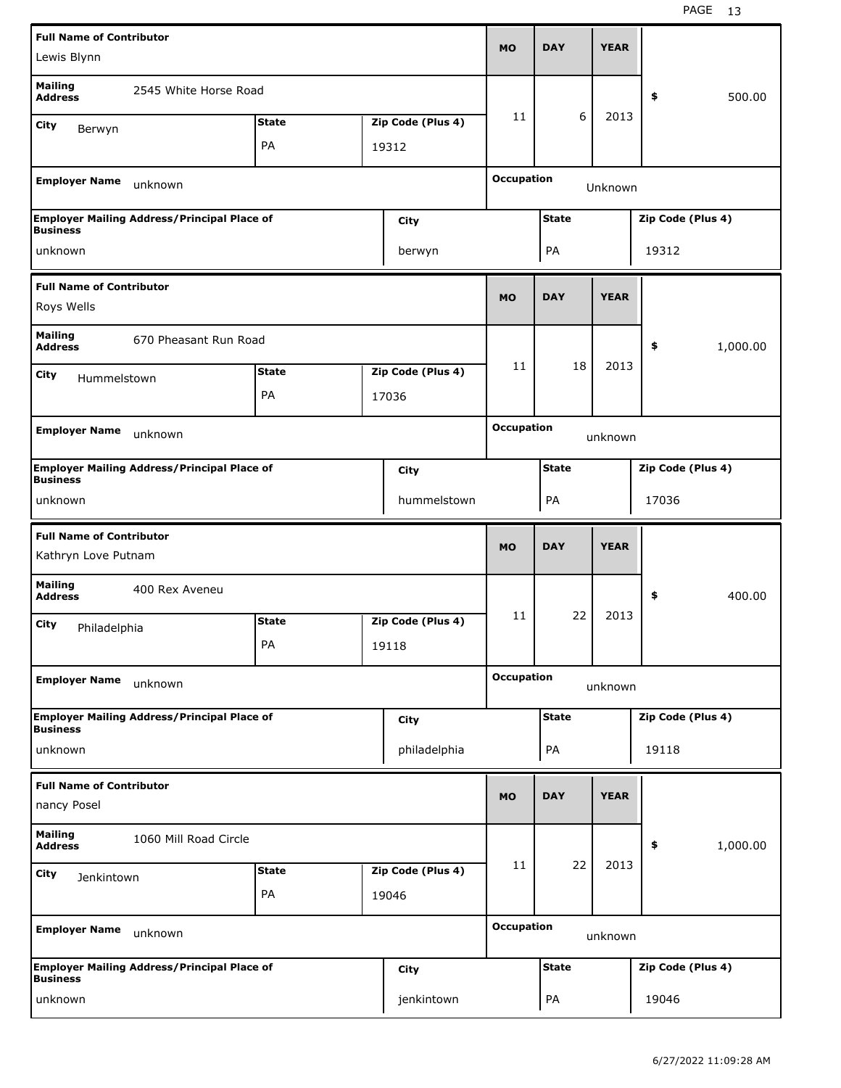| <b>Full Name of Contributor</b>                                               |                                                    |              |  |                   | <b>MO</b>                    |              |             |                   |          |  |
|-------------------------------------------------------------------------------|----------------------------------------------------|--------------|--|-------------------|------------------------------|--------------|-------------|-------------------|----------|--|
| Lewis Blynn                                                                   |                                                    |              |  |                   |                              | <b>DAY</b>   | <b>YEAR</b> |                   |          |  |
| <b>Mailing</b><br><b>Address</b>                                              | 2545 White Horse Road                              |              |  |                   |                              |              |             | \$                | 500.00   |  |
| <b>City</b><br>Berwyn                                                         |                                                    | <b>State</b> |  | Zip Code (Plus 4) | 11                           | 6            | 2013        |                   |          |  |
|                                                                               |                                                    | PA           |  | 19312             |                              |              |             |                   |          |  |
| <b>Employer Name</b><br>unknown                                               |                                                    |              |  |                   | <b>Occupation</b><br>Unknown |              |             |                   |          |  |
|                                                                               | <b>Employer Mailing Address/Principal Place of</b> |              |  | City              |                              | <b>State</b> |             | Zip Code (Plus 4) |          |  |
| <b>Business</b><br>unknown                                                    |                                                    |              |  | berwyn            |                              | PA           |             | 19312             |          |  |
| <b>Full Name of Contributor</b>                                               |                                                    |              |  |                   |                              |              |             |                   |          |  |
| Roys Wells                                                                    |                                                    |              |  |                   | <b>MO</b>                    | <b>DAY</b>   | <b>YEAR</b> |                   |          |  |
| <b>Mailing</b><br><b>Address</b>                                              | 670 Pheasant Run Road                              |              |  |                   |                              |              |             | \$                | 1,000.00 |  |
| City<br>Hummelstown                                                           |                                                    | <b>State</b> |  | Zip Code (Plus 4) | 11                           | 18           | 2013        |                   |          |  |
|                                                                               |                                                    | PA           |  | 17036             |                              |              |             |                   |          |  |
|                                                                               |                                                    |              |  |                   |                              |              |             |                   |          |  |
| <b>Employer Name</b>                                                          | unknown                                            |              |  |                   | <b>Occupation</b><br>unknown |              |             |                   |          |  |
| <b>Employer Mailing Address/Principal Place of</b><br>City<br><b>Business</b> |                                                    |              |  |                   |                              | <b>State</b> |             | Zip Code (Plus 4) |          |  |
| unknown                                                                       |                                                    |              |  | hummelstown       |                              | PA           |             | 17036             |          |  |
| <b>Full Name of Contributor</b><br>Kathryn Love Putnam                        |                                                    |              |  |                   |                              |              |             |                   |          |  |
|                                                                               |                                                    |              |  |                   | <b>MO</b>                    | <b>DAY</b>   | <b>YEAR</b> |                   |          |  |
| <b>Mailing</b><br><b>Address</b>                                              | 400 Rex Aveneu                                     |              |  |                   |                              |              |             | \$                | 400.00   |  |
| City                                                                          |                                                    | <b>State</b> |  | Zip Code (Plus 4) | 11                           | 22           | 2013        |                   |          |  |
| Philadelphia                                                                  |                                                    | PA           |  | 19118             |                              |              |             |                   |          |  |
| <b>Employer Name</b>                                                          | unknown                                            |              |  |                   | <b>Occupation</b>            |              | unknown     |                   |          |  |
|                                                                               | <b>Employer Mailing Address/Principal Place of</b> |              |  | City              |                              | <b>State</b> |             | Zip Code (Plus 4) |          |  |
| <b>Business</b><br>unknown                                                    |                                                    |              |  | philadelphia      |                              | PA           |             | 19118             |          |  |
| <b>Full Name of Contributor</b>                                               |                                                    |              |  |                   |                              |              |             |                   |          |  |
| nancy Posel                                                                   |                                                    |              |  |                   | <b>MO</b>                    | <b>DAY</b>   | <b>YEAR</b> |                   |          |  |
| <b>Mailing</b><br><b>Address</b>                                              | 1060 Mill Road Circle                              |              |  |                   |                              |              |             | \$                | 1,000.00 |  |
| City<br>Jenkintown                                                            |                                                    | <b>State</b> |  | Zip Code (Plus 4) | 11                           | 22           | 2013        |                   |          |  |
|                                                                               |                                                    | PA           |  | 19046             |                              |              |             |                   |          |  |
| <b>Employer Name</b>                                                          | unknown                                            |              |  |                   | <b>Occupation</b>            |              | unknown     |                   |          |  |
| <b>Business</b>                                                               | <b>Employer Mailing Address/Principal Place of</b> |              |  | City              |                              | <b>State</b> |             | Zip Code (Plus 4) |          |  |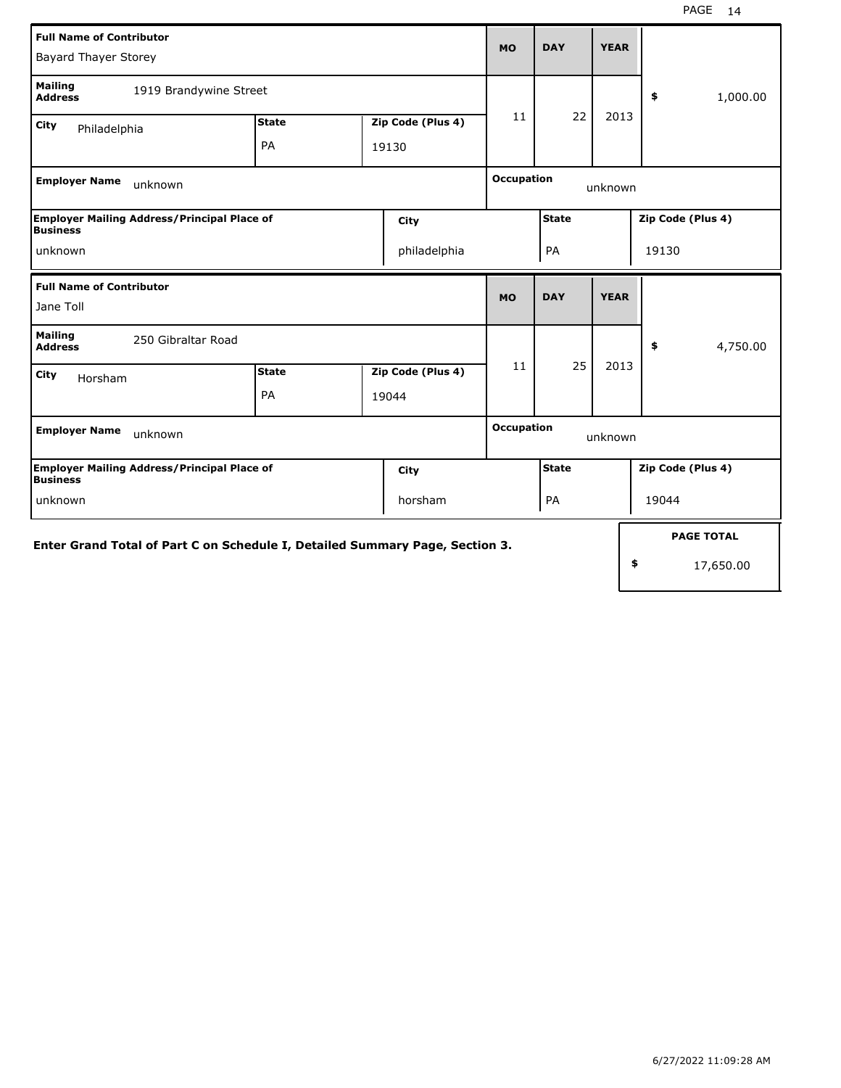| <b>Full Name of Contributor</b><br><b>Bayard Thayer Storey</b>               |              |  |                   |                   | <b>DAY</b>   | <b>YEAR</b> |       |                   |  |      |  |  |
|------------------------------------------------------------------------------|--------------|--|-------------------|-------------------|--------------|-------------|-------|-------------------|--|------|--|--|
| <b>Mailing</b><br>1919 Brandywine Street<br><b>Address</b>                   |              |  |                   |                   |              |             |       | 1,000.00<br>\$    |  |      |  |  |
| City<br>Philadelphia                                                         | <b>State</b> |  | Zip Code (Plus 4) |                   |              | 22<br>11    |       |                   |  | 2013 |  |  |
|                                                                              | PA           |  | 19130             |                   |              |             |       |                   |  |      |  |  |
| <b>Employer Name</b><br>unknown                                              |              |  |                   | <b>Occupation</b> |              | unknown     |       |                   |  |      |  |  |
| <b>Employer Mailing Address/Principal Place of</b><br><b>Business</b>        |              |  | City              |                   | <b>State</b> |             |       | Zip Code (Plus 4) |  |      |  |  |
| unknown                                                                      | philadelphia |  |                   |                   | PA<br>19130  |             |       |                   |  |      |  |  |
| <b>Full Name of Contributor</b>                                              |              |  |                   | <b>MO</b>         | <b>DAY</b>   | <b>YEAR</b> |       |                   |  |      |  |  |
| Jane Toll                                                                    |              |  |                   |                   |              |             |       |                   |  |      |  |  |
| <b>Mailing</b><br>250 Gibraltar Road<br><b>Address</b>                       |              |  |                   |                   |              |             |       | \$<br>4,750.00    |  |      |  |  |
| City<br>Horsham                                                              | <b>State</b> |  | Zip Code (Plus 4) | 11                | 25           | 2013        |       |                   |  |      |  |  |
|                                                                              | PA           |  | 19044             |                   |              |             |       |                   |  |      |  |  |
| <b>Employer Name</b><br>unknown                                              |              |  |                   | <b>Occupation</b> |              | unknown     |       |                   |  |      |  |  |
| <b>Employer Mailing Address/Principal Place of</b><br><b>Business</b>        |              |  | City              |                   | <b>State</b> |             |       | Zip Code (Plus 4) |  |      |  |  |
| horsham<br>unknown                                                           |              |  |                   | PA                |              |             | 19044 |                   |  |      |  |  |
| Enter Grand Total of Part C on Schedule I, Detailed Summary Page, Section 3. |              |  |                   |                   |              |             |       | <b>PAGE TOTAL</b> |  |      |  |  |
|                                                                              |              |  |                   |                   |              |             | \$    | 17,650.00         |  |      |  |  |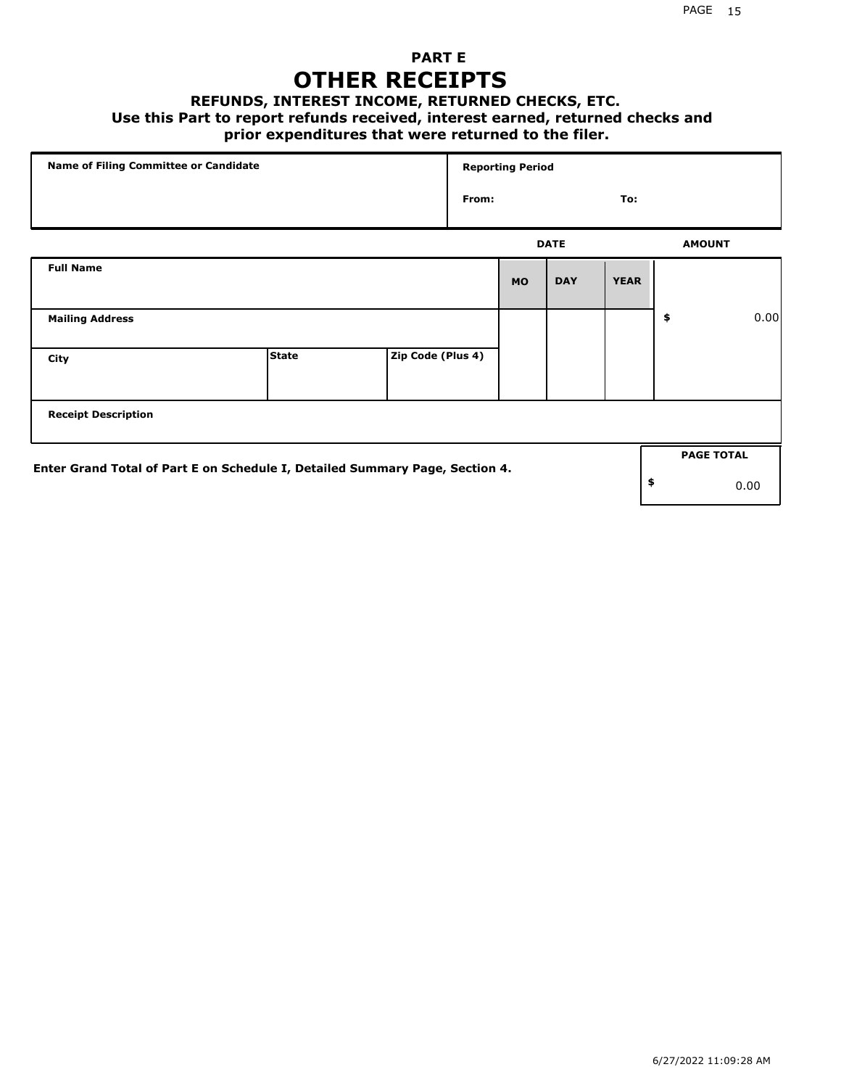## **PART E OTHER RECEIPTS**

#### **REFUNDS, INTEREST INCOME, RETURNED CHECKS, ETC.**

#### **Use this Part to report refunds received, interest earned, returned checks and**

### **prior expenditures that were returned to the filer.**

| Name of Filing Committee or Candidate                                        |              |                   | <b>Reporting Period</b> |           |             |             |    |                   |      |
|------------------------------------------------------------------------------|--------------|-------------------|-------------------------|-----------|-------------|-------------|----|-------------------|------|
|                                                                              |              |                   | From:<br>To:            |           |             |             |    |                   |      |
|                                                                              |              |                   |                         |           | <b>DATE</b> |             |    | <b>AMOUNT</b>     |      |
| <b>Full Name</b>                                                             |              |                   |                         | <b>MO</b> | <b>DAY</b>  | <b>YEAR</b> |    |                   |      |
| <b>Mailing Address</b>                                                       |              |                   |                         |           |             |             | \$ |                   | 0.00 |
| City                                                                         | <b>State</b> | Zip Code (Plus 4) |                         |           |             |             |    |                   |      |
| <b>Receipt Description</b>                                                   |              |                   |                         |           |             |             |    |                   |      |
| Enter Grand Total of Part E on Schedule I, Detailed Summary Page, Section 4. |              |                   |                         |           |             |             |    | <b>PAGE TOTAL</b> |      |
|                                                                              |              |                   |                         |           |             |             | \$ |                   | 0.00 |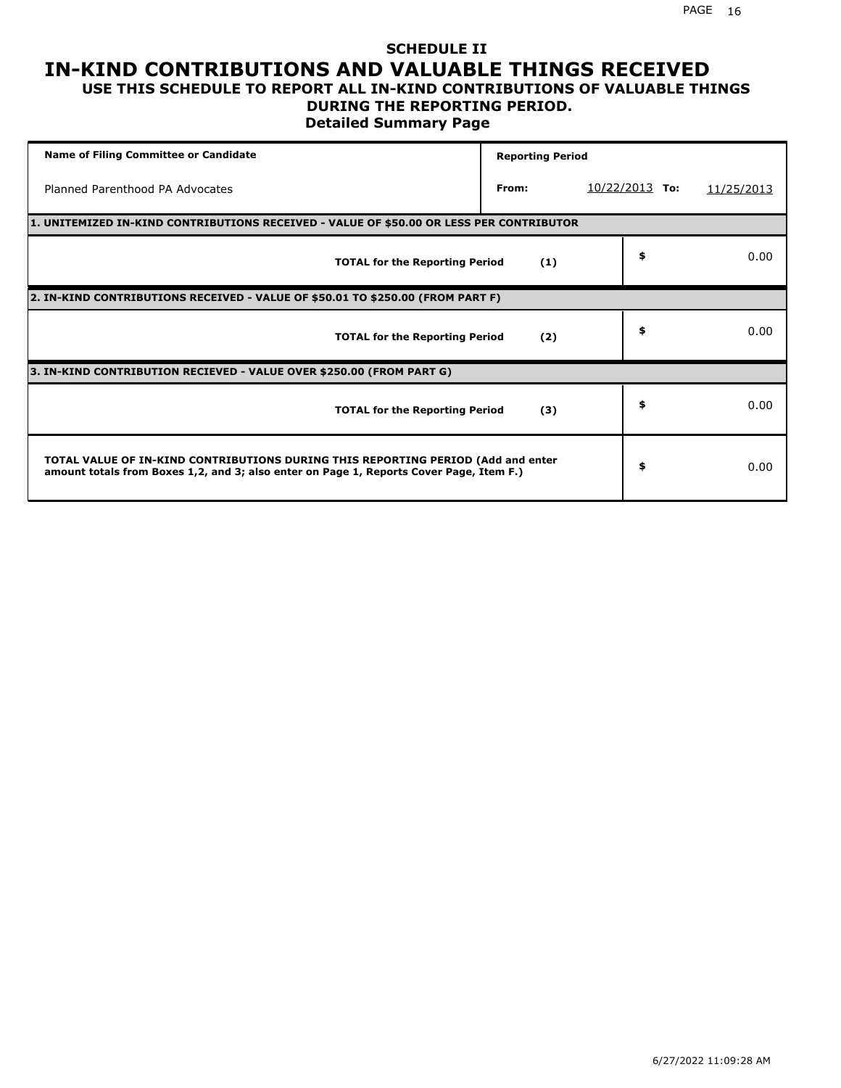### **SCHEDULE II IN-KIND CONTRIBUTIONS AND VALUABLE THINGS RECEIVED USE THIS SCHEDULE TO REPORT ALL IN-KIND CONTRIBUTIONS OF VALUABLE THINGS**

## **DURING THE REPORTING PERIOD.**

**Detailed Summary Page**

| <b>Name of Filing Committee or Candidate</b>                                                                                                                                | <b>Reporting Period</b> |                          |            |
|-----------------------------------------------------------------------------------------------------------------------------------------------------------------------------|-------------------------|--------------------------|------------|
| Planned Parenthood PA Advocates                                                                                                                                             | From:                   | <u>10/22/2013</u><br>To: | 11/25/2013 |
| 1. UNITEMIZED IN-KIND CONTRIBUTIONS RECEIVED - VALUE OF \$50.00 OR LESS PER CONTRIBUTOR                                                                                     |                         |                          |            |
| <b>TOTAL for the Reporting Period</b>                                                                                                                                       | (1)                     | \$                       | 0.00       |
| 2. IN-KIND CONTRIBUTIONS RECEIVED - VALUE OF \$50.01 TO \$250.00 (FROM PART F)                                                                                              |                         |                          |            |
| <b>TOTAL for the Reporting Period</b>                                                                                                                                       | (2)                     | \$                       | 0.00       |
| 3. IN-KIND CONTRIBUTION RECIEVED - VALUE OVER \$250.00 (FROM PART G)                                                                                                        |                         |                          |            |
| <b>TOTAL for the Reporting Period</b>                                                                                                                                       | (3)                     | \$                       | 0.00       |
| TOTAL VALUE OF IN-KIND CONTRIBUTIONS DURING THIS REPORTING PERIOD (Add and enter<br>amount totals from Boxes 1,2, and 3; also enter on Page 1, Reports Cover Page, Item F.) |                         | \$                       | 0.00       |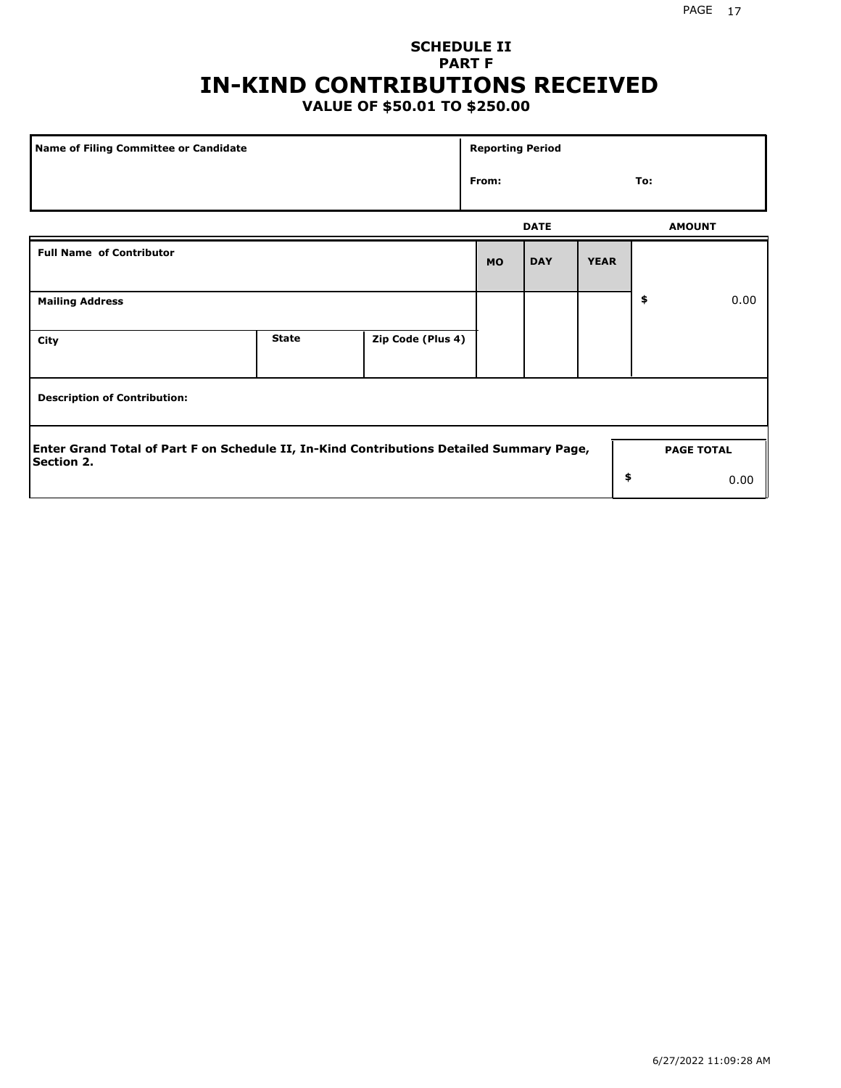## **SCHEDULE II PART F IN-KIND CONTRIBUTIONS RECEIVED**

## **VALUE OF \$50.01 TO \$250.00**

| Name of Filing Committee or Candidate                                                                         |              |                   | <b>Reporting Period</b> |             |             |               |                   |  |  |
|---------------------------------------------------------------------------------------------------------------|--------------|-------------------|-------------------------|-------------|-------------|---------------|-------------------|--|--|
|                                                                                                               |              |                   | From:                   |             |             | To:           |                   |  |  |
|                                                                                                               |              |                   |                         | <b>DATE</b> |             | <b>AMOUNT</b> |                   |  |  |
| <b>Full Name of Contributor</b>                                                                               |              |                   |                         | <b>DAY</b>  | <b>YEAR</b> |               |                   |  |  |
| <b>Mailing Address</b>                                                                                        |              |                   |                         |             |             | \$            | 0.00              |  |  |
| City                                                                                                          | <b>State</b> | Zip Code (Plus 4) |                         |             |             |               |                   |  |  |
| <b>Description of Contribution:</b>                                                                           |              |                   |                         |             |             |               |                   |  |  |
| Enter Grand Total of Part F on Schedule II, In-Kind Contributions Detailed Summary Page,<br><b>Section 2.</b> |              |                   |                         |             |             |               | <b>PAGE TOTAL</b> |  |  |
|                                                                                                               |              |                   |                         |             | \$          |               | 0.00              |  |  |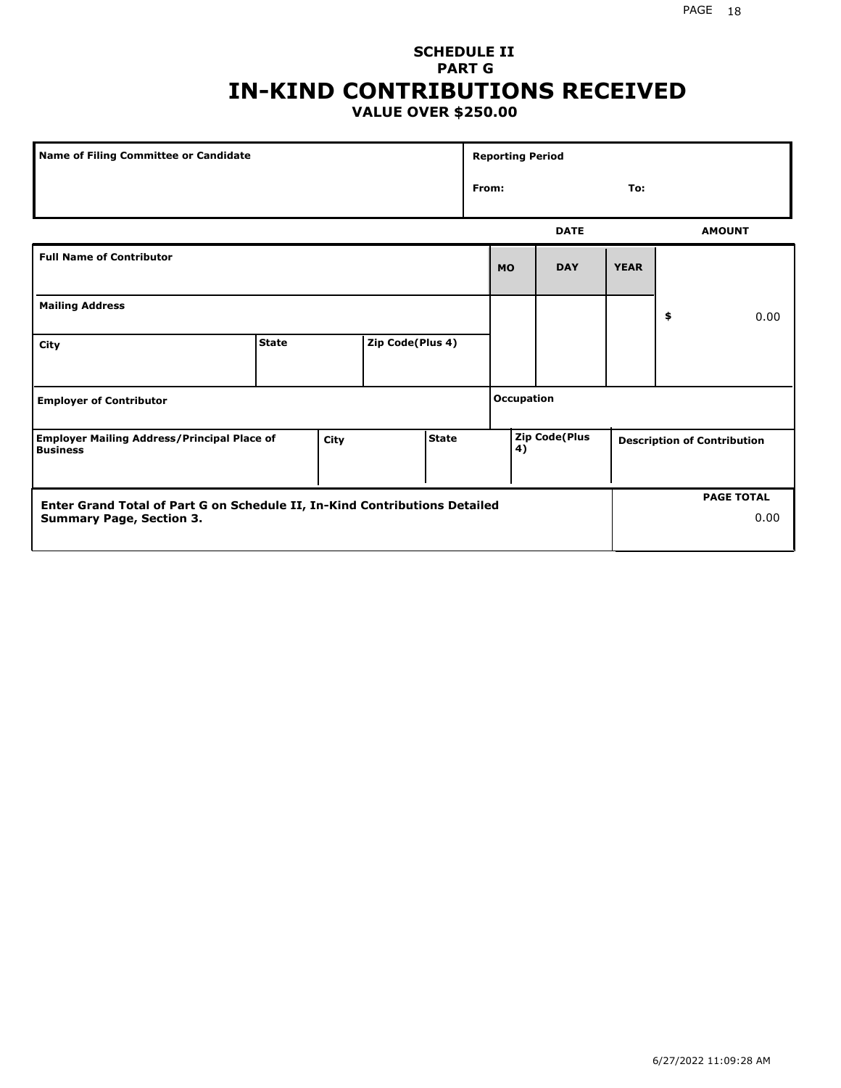### **SCHEDULE II PART G IN-KIND CONTRIBUTIONS RECEIVED VALUE OVER \$250.00**

| Name of Filing Committee or Candidate                                                         |              |  |                  | <b>Reporting Period</b> |                   |                      |             |             |                                    |               |
|-----------------------------------------------------------------------------------------------|--------------|--|------------------|-------------------------|-------------------|----------------------|-------------|-------------|------------------------------------|---------------|
|                                                                                               |              |  |                  | From:                   |                   |                      | To:         |             |                                    |               |
|                                                                                               |              |  |                  |                         |                   |                      | <b>DATE</b> |             |                                    | <b>AMOUNT</b> |
| <b>Full Name of Contributor</b>                                                               |              |  |                  |                         |                   | <b>MO</b>            | <b>DAY</b>  | <b>YEAR</b> |                                    |               |
| <b>Mailing Address</b>                                                                        |              |  |                  |                         |                   |                      |             |             | \$                                 | 0.00          |
| City                                                                                          | <b>State</b> |  | Zip Code(Plus 4) |                         |                   |                      |             |             |                                    |               |
| <b>Employer of Contributor</b>                                                                |              |  |                  |                         | <b>Occupation</b> |                      |             |             |                                    |               |
| <b>State</b><br><b>Employer Mailing Address/Principal Place of</b><br>City<br><b>Business</b> |              |  |                  |                         | 4)                | <b>Zip Code(Plus</b> |             |             | <b>Description of Contribution</b> |               |

| <b>Enter Grand Total of Part G on Schedule II, In-Kind Contributions Detailed</b> |  | <b>PAGE TOTAL</b> |
|-----------------------------------------------------------------------------------|--|-------------------|
| <b>Summary Page, Section 3.</b>                                                   |  | 0.00              |
|                                                                                   |  |                   |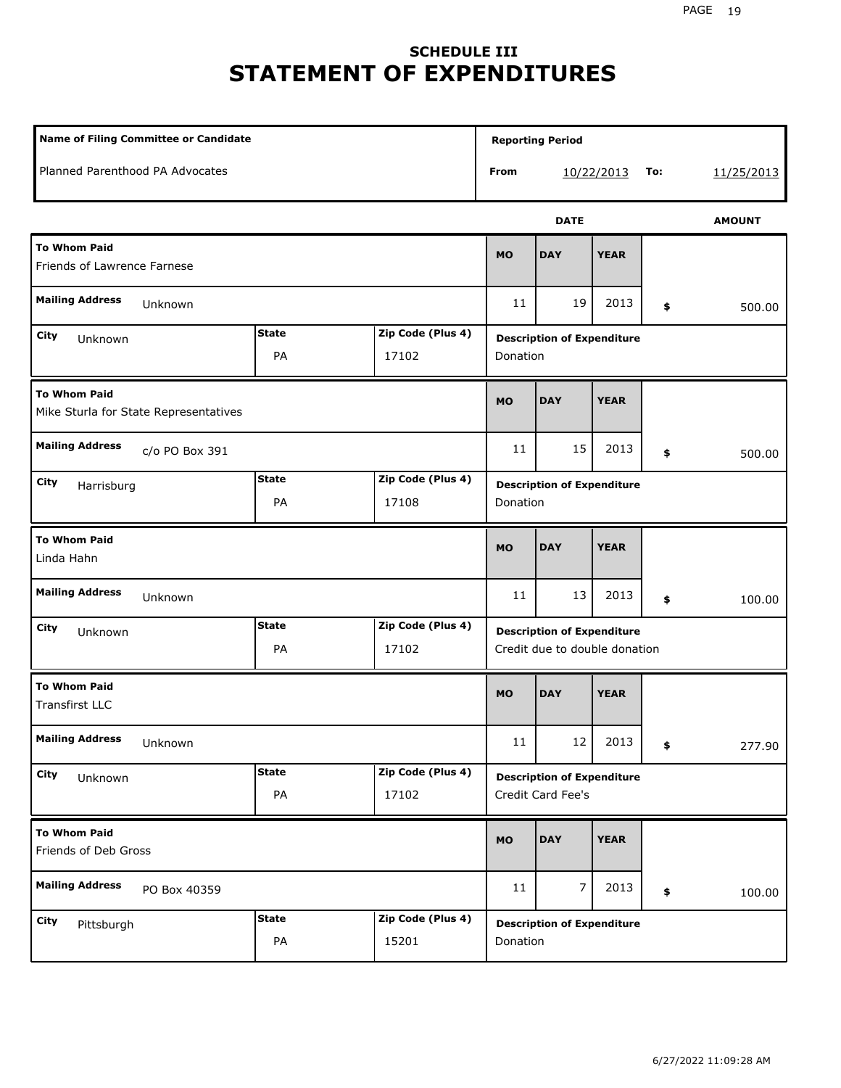## **SCHEDULE III STATEMENT OF EXPENDITURES**

| Name of Filing Committee or Candidate                               |                    |                                               |             | <b>Reporting Period</b>                                            |             |    |        |  |
|---------------------------------------------------------------------|--------------------|-----------------------------------------------|-------------|--------------------------------------------------------------------|-------------|----|--------|--|
| Planned Parenthood PA Advocates                                     |                    |                                               | From        | 10/22/2013                                                         | 11/25/2013  |    |        |  |
|                                                                     |                    | <b>DATE</b>                                   |             |                                                                    |             |    |        |  |
| <b>To Whom Paid</b><br>Friends of Lawrence Farnese                  | <b>MO</b>          | <b>DAY</b>                                    | <b>YEAR</b> |                                                                    |             |    |        |  |
| <b>Mailing Address</b><br>Unknown                                   |                    |                                               | 11          | 19                                                                 | 2013        | \$ | 500.00 |  |
| <b>State</b><br>Zip Code (Plus 4)<br>City<br>Unknown<br>PA<br>17102 |                    |                                               | Donation    | <b>Description of Expenditure</b>                                  |             |    |        |  |
| <b>To Whom Paid</b><br>Mike Sturla for State Representatives        |                    |                                               | <b>MO</b>   | <b>DAY</b>                                                         | <b>YEAR</b> |    |        |  |
| <b>Mailing Address</b><br>c/o PO Box 391                            |                    |                                               | 11          | 15                                                                 | 2013        | \$ | 500.00 |  |
| City<br>Harrisburg                                                  |                    | <b>Description of Expenditure</b><br>Donation |             |                                                                    |             |    |        |  |
| <b>To Whom Paid</b><br>Linda Hahn                                   |                    |                                               | <b>MO</b>   | <b>DAY</b>                                                         | <b>YEAR</b> |    |        |  |
| <b>Mailing Address</b><br>Unknown                                   |                    |                                               | 11          | 13                                                                 | 2013        | \$ | 100.00 |  |
| City<br>Unknown                                                     | <b>State</b><br>PA | Zip Code (Plus 4)<br>17102                    |             | <b>Description of Expenditure</b><br>Credit due to double donation |             |    |        |  |
| <b>To Whom Paid</b><br><b>Transfirst LLC</b>                        |                    |                                               | <b>MO</b>   | <b>DAY</b>                                                         | <b>YEAR</b> |    |        |  |
| <b>Mailing Address</b><br>Unknown                                   |                    |                                               | $11\,$      | 12                                                                 | 2013        | \$ | 277.90 |  |
| City<br>Unknown                                                     | <b>State</b><br>PA | Zip Code (Plus 4)<br>17102                    |             | <b>Description of Expenditure</b><br>Credit Card Fee's             |             |    |        |  |
| <b>To Whom Paid</b><br>Friends of Deb Gross                         |                    |                                               | MO          | <b>DAY</b>                                                         | <b>YEAR</b> |    |        |  |
| <b>Mailing Address</b><br>PO Box 40359                              |                    |                                               | 11          | 7                                                                  | 2013        | \$ | 100.00 |  |
| City<br>Pittsburgh                                                  | <b>State</b><br>PA | Zip Code (Plus 4)<br>15201                    |             | <b>Description of Expenditure</b><br>Donation                      |             |    |        |  |